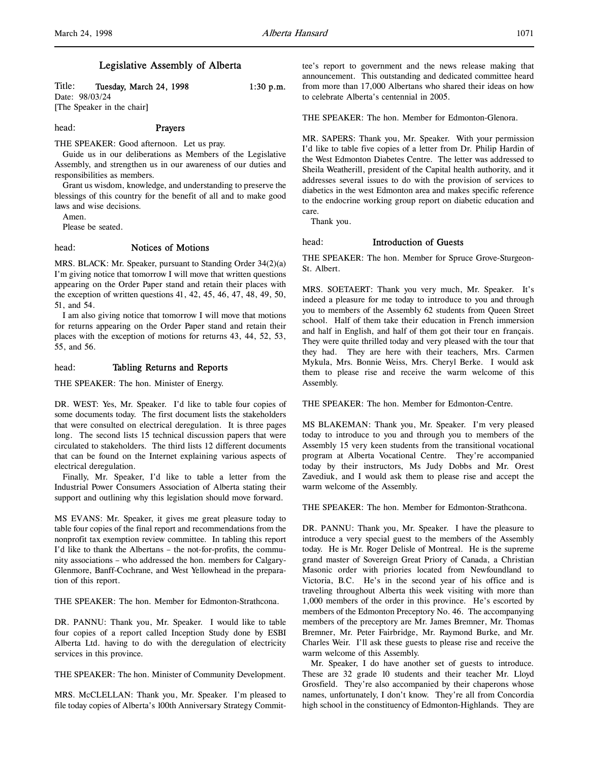# Legislative Assembly of Alberta

Title: Tuesday, March 24, 1998 1:30 p.m. Date: 98/03/24 [The Speaker in the chair]

#### head: Prayers

THE SPEAKER: Good afternoon. Let us pray.

Guide us in our deliberations as Members of the Legislative Assembly, and strengthen us in our awareness of our duties and responsibilities as members.

Grant us wisdom, knowledge, and understanding to preserve the blessings of this country for the benefit of all and to make good laws and wise decisions.

Amen.

Please be seated.

## head: Notices of Motions

MRS. BLACK: Mr. Speaker, pursuant to Standing Order 34(2)(a) I'm giving notice that tomorrow I will move that written questions appearing on the Order Paper stand and retain their places with the exception of written questions 41, 42, 45, 46, 47, 48, 49, 50, 51, and 54.

I am also giving notice that tomorrow I will move that motions for returns appearing on the Order Paper stand and retain their places with the exception of motions for returns 43, 44, 52, 53, 55, and 56.

#### head: Tabling Returns and Reports

THE SPEAKER: The hon. Minister of Energy.

DR. WEST: Yes, Mr. Speaker. I'd like to table four copies of some documents today. The first document lists the stakeholders that were consulted on electrical deregulation. It is three pages long. The second lists 15 technical discussion papers that were circulated to stakeholders. The third lists 12 different documents that can be found on the Internet explaining various aspects of electrical deregulation.

Finally, Mr. Speaker, I'd like to table a letter from the Industrial Power Consumers Association of Alberta stating their support and outlining why this legislation should move forward.

MS EVANS: Mr. Speaker, it gives me great pleasure today to table four copies of the final report and recommendations from the nonprofit tax exemption review committee. In tabling this report I'd like to thank the Albertans – the not-for-profits, the community associations – who addressed the hon. members for Calgary-Glenmore, Banff-Cochrane, and West Yellowhead in the preparation of this report.

THE SPEAKER: The hon. Member for Edmonton-Strathcona.

DR. PANNU: Thank you, Mr. Speaker. I would like to table four copies of a report called Inception Study done by ESBI Alberta Ltd. having to do with the deregulation of electricity services in this province.

THE SPEAKER: The hon. Minister of Community Development.

MRS. McCLELLAN: Thank you, Mr. Speaker. I'm pleased to file today copies of Alberta's 100th Anniversary Strategy Committee's report to government and the news release making that announcement. This outstanding and dedicated committee heard from more than 17,000 Albertans who shared their ideas on how to celebrate Alberta's centennial in 2005.

THE SPEAKER: The hon. Member for Edmonton-Glenora.

MR. SAPERS: Thank you, Mr. Speaker. With your permission I'd like to table five copies of a letter from Dr. Philip Hardin of the West Edmonton Diabetes Centre. The letter was addressed to Sheila Weatherill, president of the Capital health authority, and it addresses several issues to do with the provision of services to diabetics in the west Edmonton area and makes specific reference to the endocrine working group report on diabetic education and care.

Thank you.

#### head: Introduction of Guests

THE SPEAKER: The hon. Member for Spruce Grove-Sturgeon-St. Albert.

MRS. SOETAERT: Thank you very much, Mr. Speaker. It's indeed a pleasure for me today to introduce to you and through you to members of the Assembly 62 students from Queen Street school. Half of them take their education in French immersion and half in English, and half of them got their tour en français. They were quite thrilled today and very pleased with the tour that they had. They are here with their teachers, Mrs. Carmen Mykula, Mrs. Bonnie Weiss, Mrs. Cheryl Berke. I would ask them to please rise and receive the warm welcome of this Assembly.

THE SPEAKER: The hon. Member for Edmonton-Centre.

MS BLAKEMAN: Thank you, Mr. Speaker. I'm very pleased today to introduce to you and through you to members of the Assembly 15 very keen students from the transitional vocational program at Alberta Vocational Centre. They're accompanied today by their instructors, Ms Judy Dobbs and Mr. Orest Zavediuk, and I would ask them to please rise and accept the warm welcome of the Assembly.

THE SPEAKER: The hon. Member for Edmonton-Strathcona.

DR. PANNU: Thank you, Mr. Speaker. I have the pleasure to introduce a very special guest to the members of the Assembly today. He is Mr. Roger Delisle of Montreal. He is the supreme grand master of Sovereign Great Priory of Canada, a Christian Masonic order with priories located from Newfoundland to Victoria, B.C. He's in the second year of his office and is traveling throughout Alberta this week visiting with more than 1,000 members of the order in this province. He's escorted by members of the Edmonton Preceptory No. 46. The accompanying members of the preceptory are Mr. James Bremner, Mr. Thomas Bremner, Mr. Peter Fairbridge, Mr. Raymond Burke, and Mr. Charles Weir. I'll ask these guests to please rise and receive the warm welcome of this Assembly.

Mr. Speaker, I do have another set of guests to introduce. These are 32 grade 10 students and their teacher Mr. Lloyd Grosfield. They're also accompanied by their chaperons whose names, unfortunately, I don't know. They're all from Concordia high school in the constituency of Edmonton-Highlands. They are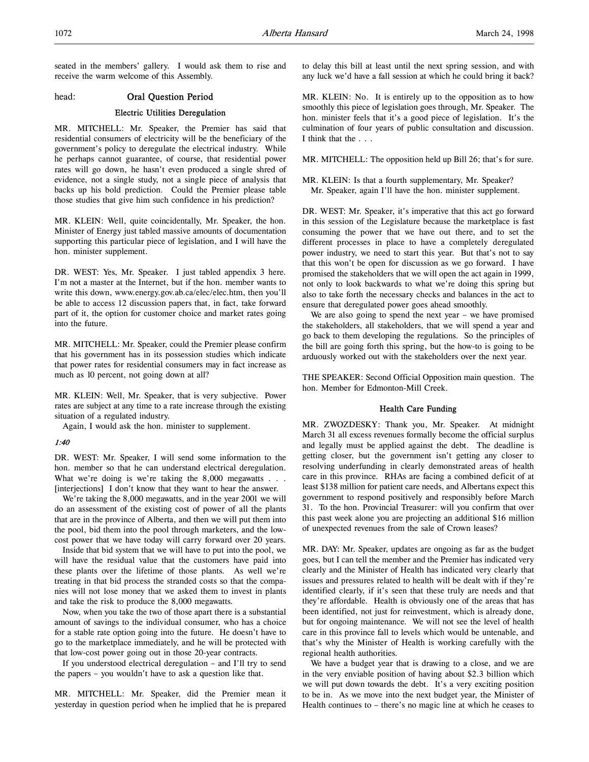seated in the members' gallery. I would ask them to rise and receive the warm welcome of this Assembly.

## head: Oral Question Period

## Electric Utilities Deregulation

MR. MITCHELL: Mr. Speaker, the Premier has said that residential consumers of electricity will be the beneficiary of the government's policy to deregulate the electrical industry. While he perhaps cannot guarantee, of course, that residential power rates will go down, he hasn't even produced a single shred of evidence, not a single study, not a single piece of analysis that backs up his bold prediction. Could the Premier please table those studies that give him such confidence in his prediction?

MR. KLEIN: Well, quite coincidentally, Mr. Speaker, the hon. Minister of Energy just tabled massive amounts of documentation supporting this particular piece of legislation, and I will have the hon. minister supplement.

DR. WEST: Yes, Mr. Speaker. I just tabled appendix 3 here. I'm not a master at the Internet, but if the hon. member wants to write this down, www.energy.gov.ab.ca/elec/elec.htm, then you'll be able to access 12 discussion papers that, in fact, take forward part of it, the option for customer choice and market rates going into the future.

MR. MITCHELL: Mr. Speaker, could the Premier please confirm that his government has in its possession studies which indicate that power rates for residential consumers may in fact increase as much as 10 percent, not going down at all?

MR. KLEIN: Well, Mr. Speaker, that is very subjective. Power rates are subject at any time to a rate increase through the existing situation of a regulated industry.

Again, I would ask the hon. minister to supplement.

#### 1:40

DR. WEST: Mr. Speaker, I will send some information to the hon. member so that he can understand electrical deregulation. What we're doing is we're taking the 8,000 megawatts . . . [interjections] I don't know that they want to hear the answer.

We're taking the 8,000 megawatts, and in the year 2001 we will do an assessment of the existing cost of power of all the plants that are in the province of Alberta, and then we will put them into the pool, bid them into the pool through marketers, and the lowcost power that we have today will carry forward over 20 years.

Inside that bid system that we will have to put into the pool, we will have the residual value that the customers have paid into these plants over the lifetime of those plants. As well we're treating in that bid process the stranded costs so that the companies will not lose money that we asked them to invest in plants and take the risk to produce the 8,000 megawatts.

Now, when you take the two of those apart there is a substantial amount of savings to the individual consumer, who has a choice for a stable rate option going into the future. He doesn't have to go to the marketplace immediately, and he will be protected with that low-cost power going out in those 20-year contracts.

If you understood electrical deregulation – and I'll try to send the papers – you wouldn't have to ask a question like that.

MR. MITCHELL: Mr. Speaker, did the Premier mean it yesterday in question period when he implied that he is prepared to delay this bill at least until the next spring session, and with any luck we'd have a fall session at which he could bring it back?

MR. KLEIN: No. It is entirely up to the opposition as to how smoothly this piece of legislation goes through, Mr. Speaker. The hon. minister feels that it's a good piece of legislation. It's the culmination of four years of public consultation and discussion. I think that the . . .

MR. MITCHELL: The opposition held up Bill 26; that's for sure.

MR. KLEIN: Is that a fourth supplementary, Mr. Speaker? Mr. Speaker, again I'll have the hon. minister supplement.

DR. WEST: Mr. Speaker, it's imperative that this act go forward in this session of the Legislature because the marketplace is fast consuming the power that we have out there, and to set the different processes in place to have a completely deregulated power industry, we need to start this year. But that's not to say that this won't be open for discussion as we go forward. I have promised the stakeholders that we will open the act again in 1999, not only to look backwards to what we're doing this spring but also to take forth the necessary checks and balances in the act to ensure that deregulated power goes ahead smoothly.

We are also going to spend the next year – we have promised the stakeholders, all stakeholders, that we will spend a year and go back to them developing the regulations. So the principles of the bill are going forth this spring, but the how-to is going to be arduously worked out with the stakeholders over the next year.

THE SPEAKER: Second Official Opposition main question. The hon. Member for Edmonton-Mill Creek.

#### Health Care Funding

MR. ZWOZDESKY: Thank you, Mr. Speaker. At midnight March 31 all excess revenues formally become the official surplus and legally must be applied against the debt. The deadline is getting closer, but the government isn't getting any closer to resolving underfunding in clearly demonstrated areas of health care in this province. RHAs are facing a combined deficit of at least \$138 million for patient care needs, and Albertans expect this government to respond positively and responsibly before March 31. To the hon. Provincial Treasurer: will you confirm that over this past week alone you are projecting an additional \$16 million of unexpected revenues from the sale of Crown leases?

MR. DAY: Mr. Speaker, updates are ongoing as far as the budget goes, but I can tell the member and the Premier has indicated very clearly and the Minister of Health has indicated very clearly that issues and pressures related to health will be dealt with if they're identified clearly, if it's seen that these truly are needs and that they're affordable. Health is obviously one of the areas that has been identified, not just for reinvestment, which is already done, but for ongoing maintenance. We will not see the level of health care in this province fall to levels which would be untenable, and that's why the Minister of Health is working carefully with the regional health authorities.

We have a budget year that is drawing to a close, and we are in the very enviable position of having about \$2.3 billion which we will put down towards the debt. It's a very exciting position to be in. As we move into the next budget year, the Minister of Health continues to – there's no magic line at which he ceases to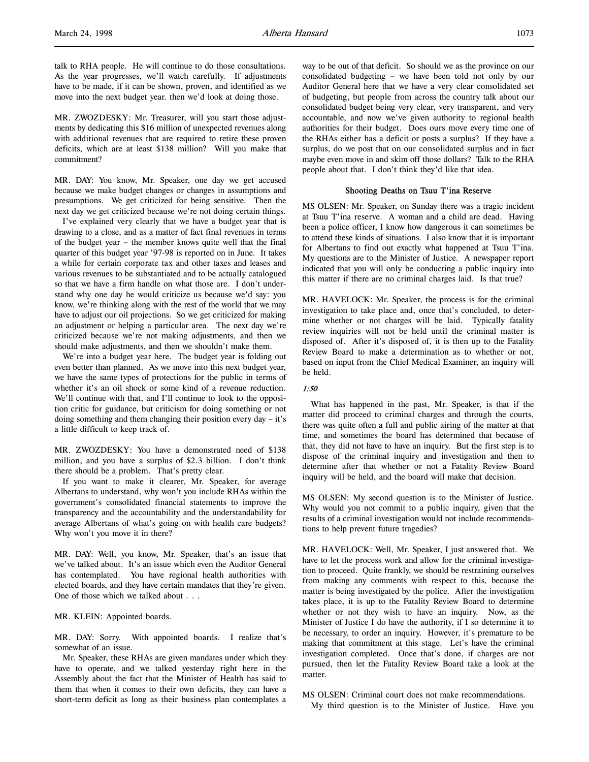MR. ZWOZDESKY: Mr. Treasurer, will you start those adjustments by dedicating this \$16 million of unexpected revenues along with additional revenues that are required to retire these proven deficits, which are at least \$138 million? Will you make that commitment?

MR. DAY: You know, Mr. Speaker, one day we get accused because we make budget changes or changes in assumptions and presumptions. We get criticized for being sensitive. Then the next day we get criticized because we're not doing certain things.

I've explained very clearly that we have a budget year that is drawing to a close, and as a matter of fact final revenues in terms of the budget year – the member knows quite well that the final quarter of this budget year '97-98 is reported on in June. It takes a while for certain corporate tax and other taxes and leases and various revenues to be substantiated and to be actually catalogued so that we have a firm handle on what those are. I don't understand why one day he would criticize us because we'd say: you know, we're thinking along with the rest of the world that we may have to adjust our oil projections. So we get criticized for making an adjustment or helping a particular area. The next day we're criticized because we're not making adjustments, and then we should make adjustments, and then we shouldn't make them.

We're into a budget year here. The budget year is folding out even better than planned. As we move into this next budget year, we have the same types of protections for the public in terms of whether it's an oil shock or some kind of a revenue reduction. We'll continue with that, and I'll continue to look to the opposition critic for guidance, but criticism for doing something or not doing something and them changing their position every day – it's a little difficult to keep track of.

MR. ZWOZDESKY: You have a demonstrated need of \$138 million, and you have a surplus of \$2.3 billion. I don't think there should be a problem. That's pretty clear.

If you want to make it clearer, Mr. Speaker, for average Albertans to understand, why won't you include RHAs within the government's consolidated financial statements to improve the transparency and the accountability and the understandability for average Albertans of what's going on with health care budgets? Why won't you move it in there?

MR. DAY: Well, you know, Mr. Speaker, that's an issue that we've talked about. It's an issue which even the Auditor General has contemplated. You have regional health authorities with elected boards, and they have certain mandates that they're given. One of those which we talked about . . .

MR. KLEIN: Appointed boards.

MR. DAY: Sorry. With appointed boards. I realize that's somewhat of an issue.

Mr. Speaker, these RHAs are given mandates under which they have to operate, and we talked yesterday right here in the Assembly about the fact that the Minister of Health has said to them that when it comes to their own deficits, they can have a short-term deficit as long as their business plan contemplates a way to be out of that deficit. So should we as the province on our consolidated budgeting – we have been told not only by our Auditor General here that we have a very clear consolidated set of budgeting, but people from across the country talk about our consolidated budget being very clear, very transparent, and very accountable, and now we've given authority to regional health authorities for their budget. Does ours move every time one of the RHAs either has a deficit or posts a surplus? If they have a surplus, do we post that on our consolidated surplus and in fact maybe even move in and skim off those dollars? Talk to the RHA people about that. I don't think they'd like that idea.

#### Shooting Deaths on Tsuu T'ina Reserve

MS OLSEN: Mr. Speaker, on Sunday there was a tragic incident at Tsuu T'ina reserve. A woman and a child are dead. Having been a police officer, I know how dangerous it can sometimes be to attend these kinds of situations. I also know that it is important for Albertans to find out exactly what happened at Tsuu T'ina. My questions are to the Minister of Justice. A newspaper report indicated that you will only be conducting a public inquiry into this matter if there are no criminal charges laid. Is that true?

MR. HAVELOCK: Mr. Speaker, the process is for the criminal investigation to take place and, once that's concluded, to determine whether or not charges will be laid. Typically fatality review inquiries will not be held until the criminal matter is disposed of. After it's disposed of, it is then up to the Fatality Review Board to make a determination as to whether or not, based on input from the Chief Medical Examiner, an inquiry will be held.

#### 1:50

What has happened in the past, Mr. Speaker, is that if the matter did proceed to criminal charges and through the courts, there was quite often a full and public airing of the matter at that time, and sometimes the board has determined that because of that, they did not have to have an inquiry. But the first step is to dispose of the criminal inquiry and investigation and then to determine after that whether or not a Fatality Review Board inquiry will be held, and the board will make that decision.

MS OLSEN: My second question is to the Minister of Justice. Why would you not commit to a public inquiry, given that the results of a criminal investigation would not include recommendations to help prevent future tragedies?

MR. HAVELOCK: Well, Mr. Speaker, I just answered that. We have to let the process work and allow for the criminal investigation to proceed. Quite frankly, we should be restraining ourselves from making any comments with respect to this, because the matter is being investigated by the police. After the investigation takes place, it is up to the Fatality Review Board to determine whether or not they wish to have an inquiry. Now, as the Minister of Justice I do have the authority, if I so determine it to be necessary, to order an inquiry. However, it's premature to be making that commitment at this stage. Let's have the criminal investigation completed. Once that's done, if charges are not pursued, then let the Fatality Review Board take a look at the matter.

MS OLSEN: Criminal court does not make recommendations. My third question is to the Minister of Justice. Have you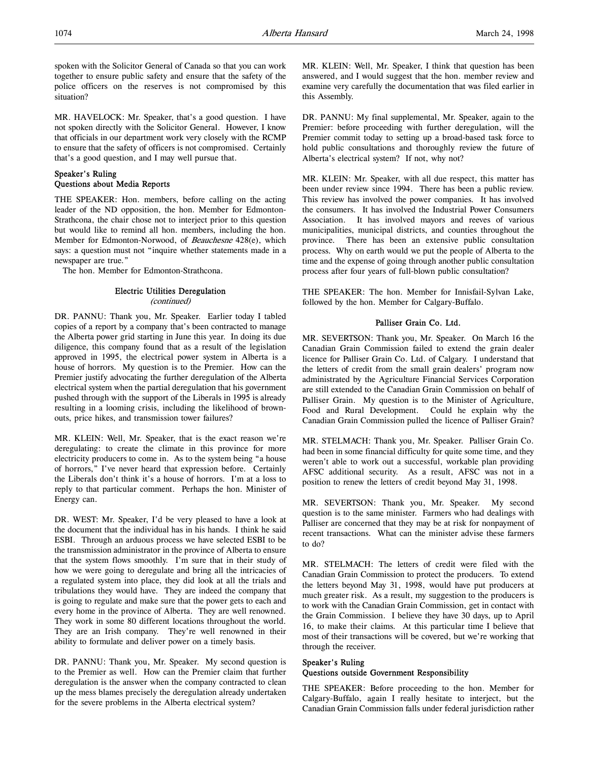spoken with the Solicitor General of Canada so that you can work together to ensure public safety and ensure that the safety of the police officers on the reserves is not compromised by this situation?

MR. HAVELOCK: Mr. Speaker, that's a good question. I have not spoken directly with the Solicitor General. However, I know that officials in our department work very closely with the RCMP to ensure that the safety of officers is not compromised. Certainly that's a good question, and I may well pursue that.

## Speaker's Ruling Questions about Media Reports

THE SPEAKER: Hon. members, before calling on the acting leader of the ND opposition, the hon. Member for Edmonton-Strathcona, the chair chose not to interject prior to this question but would like to remind all hon. members, including the hon. Member for Edmonton-Norwood, of Beauchesne 428(e), which says: a question must not "inquire whether statements made in a newspaper are true."

The hon. Member for Edmonton-Strathcona.

# Electric Utilities Deregulation

(continued)

DR. PANNU: Thank you, Mr. Speaker. Earlier today I tabled copies of a report by a company that's been contracted to manage the Alberta power grid starting in June this year. In doing its due diligence, this company found that as a result of the legislation approved in 1995, the electrical power system in Alberta is a house of horrors. My question is to the Premier. How can the Premier justify advocating the further deregulation of the Alberta electrical system when the partial deregulation that his government pushed through with the support of the Liberals in 1995 is already resulting in a looming crisis, including the likelihood of brownouts, price hikes, and transmission tower failures?

MR. KLEIN: Well, Mr. Speaker, that is the exact reason we're deregulating: to create the climate in this province for more electricity producers to come in. As to the system being "a house of horrors," I've never heard that expression before. Certainly the Liberals don't think it's a house of horrors. I'm at a loss to reply to that particular comment. Perhaps the hon. Minister of Energy can.

DR. WEST: Mr. Speaker, I'd be very pleased to have a look at the document that the individual has in his hands. I think he said ESBI. Through an arduous process we have selected ESBI to be the transmission administrator in the province of Alberta to ensure that the system flows smoothly. I'm sure that in their study of how we were going to deregulate and bring all the intricacies of a regulated system into place, they did look at all the trials and tribulations they would have. They are indeed the company that is going to regulate and make sure that the power gets to each and every home in the province of Alberta. They are well renowned. They work in some 80 different locations throughout the world. They are an Irish company. They're well renowned in their ability to formulate and deliver power on a timely basis.

DR. PANNU: Thank you, Mr. Speaker. My second question is to the Premier as well. How can the Premier claim that further deregulation is the answer when the company contracted to clean up the mess blames precisely the deregulation already undertaken for the severe problems in the Alberta electrical system?

MR. KLEIN: Well, Mr. Speaker, I think that question has been answered, and I would suggest that the hon. member review and examine very carefully the documentation that was filed earlier in this Assembly.

DR. PANNU: My final supplemental, Mr. Speaker, again to the Premier: before proceeding with further deregulation, will the Premier commit today to setting up a broad-based task force to hold public consultations and thoroughly review the future of Alberta's electrical system? If not, why not?

MR. KLEIN: Mr. Speaker, with all due respect, this matter has been under review since 1994. There has been a public review. This review has involved the power companies. It has involved the consumers. It has involved the Industrial Power Consumers Association. It has involved mayors and reeves of various municipalities, municipal districts, and counties throughout the province. There has been an extensive public consultation process. Why on earth would we put the people of Alberta to the time and the expense of going through another public consultation process after four years of full-blown public consultation?

THE SPEAKER: The hon. Member for Innisfail-Sylvan Lake, followed by the hon. Member for Calgary-Buffalo.

## Palliser Grain Co. Ltd.

MR. SEVERTSON: Thank you, Mr. Speaker. On March 16 the Canadian Grain Commission failed to extend the grain dealer licence for Palliser Grain Co. Ltd. of Calgary. I understand that the letters of credit from the small grain dealers' program now administrated by the Agriculture Financial Services Corporation are still extended to the Canadian Grain Commission on behalf of Palliser Grain. My question is to the Minister of Agriculture, Food and Rural Development. Could he explain why the Canadian Grain Commission pulled the licence of Palliser Grain?

MR. STELMACH: Thank you, Mr. Speaker. Palliser Grain Co. had been in some financial difficulty for quite some time, and they weren't able to work out a successful, workable plan providing AFSC additional security. As a result, AFSC was not in a position to renew the letters of credit beyond May 31, 1998.

MR. SEVERTSON: Thank you, Mr. Speaker. My second question is to the same minister. Farmers who had dealings with Palliser are concerned that they may be at risk for nonpayment of recent transactions. What can the minister advise these farmers to do?

MR. STELMACH: The letters of credit were filed with the Canadian Grain Commission to protect the producers. To extend the letters beyond May 31, 1998, would have put producers at much greater risk. As a result, my suggestion to the producers is to work with the Canadian Grain Commission, get in contact with the Grain Commission. I believe they have 30 days, up to April 16, to make their claims. At this particular time I believe that most of their transactions will be covered, but we're working that through the receiver.

## Speaker's Ruling Questions outside Government Responsibility

THE SPEAKER: Before proceeding to the hon. Member for Calgary-Buffalo, again I really hesitate to interject, but the Canadian Grain Commission falls under federal jurisdiction rather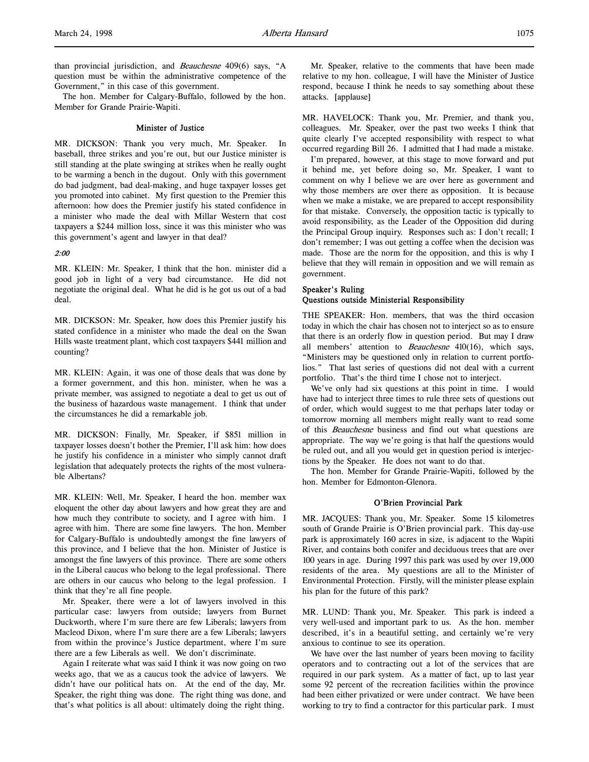than provincial jurisdiction, and Beauchesne 409(6) says, "A question must be within the administrative competence of the Government," in this case of this government.

The hon. Member for Calgary-Buffalo, followed by the hon. Member for Grande Prairie-Wapiti.

## Minister of Justice

MR. DICKSON: Thank you very much, Mr. Speaker. In baseball, three strikes and you're out, but our Justice minister is still standing at the plate swinging at strikes when he really ought to be warming a bench in the dugout. Only with this government do bad judgment, bad deal-making, and huge taxpayer losses get you promoted into cabinet. My first question to the Premier this afternoon: how does the Premier justify his stated confidence in a minister who made the deal with Millar Western that cost taxpayers a \$244 million loss, since it was this minister who was this government's agent and lawyer in that deal?

## 2:00

MR. KLEIN: Mr. Speaker, I think that the hon. minister did a good job in light of a very bad circumstance. He did not negotiate the original deal. What he did is he got us out of a bad deal.

MR. DICKSON: Mr. Speaker, how does this Premier justify his stated confidence in a minister who made the deal on the Swan Hills waste treatment plant, which cost taxpayers \$441 million and counting?

MR. KLEIN: Again, it was one of those deals that was done by a former government, and this hon. minister, when he was a private member, was assigned to negotiate a deal to get us out of the business of hazardous waste management. I think that under the circumstances he did a remarkable job.

MR. DICKSON: Finally, Mr. Speaker, if \$851 million in taxpayer losses doesn't bother the Premier, I'll ask him: how does he justify his confidence in a minister who simply cannot draft legislation that adequately protects the rights of the most vulnerable Albertans?

MR. KLEIN: Well, Mr. Speaker, I heard the hon. member wax eloquent the other day about lawyers and how great they are and how much they contribute to society, and I agree with him. I agree with him. There are some fine lawyers. The hon. Member for Calgary-Buffalo is undoubtedly amongst the fine lawyers of this province, and I believe that the hon. Minister of Justice is amongst the fine lawyers of this province. There are some others in the Liberal caucus who belong to the legal professional. There are others in our caucus who belong to the legal profession. I think that they're all fine people.

Mr. Speaker, there were a lot of lawyers involved in this particular case: lawyers from outside; lawyers from Burnet Duckworth, where I'm sure there are few Liberals; lawyers from Macleod Dixon, where I'm sure there are a few Liberals; lawyers from within the province's Justice department, where I'm sure there are a few Liberals as well. We don't discriminate.

Again I reiterate what was said I think it was now going on two weeks ago, that we as a caucus took the advice of lawyers. We didn't have our political hats on. At the end of the day, Mr. Speaker, the right thing was done. The right thing was done, and that's what politics is all about: ultimately doing the right thing.

Mr. Speaker, relative to the comments that have been made relative to my hon. colleague, I will have the Minister of Justice respond, because I think he needs to say something about these attacks. [applause]

MR. HAVELOCK: Thank you, Mr. Premier, and thank you, colleagues. Mr. Speaker, over the past two weeks I think that quite clearly I've accepted responsibility with respect to what occurred regarding Bill 26. I admitted that I had made a mistake.

I'm prepared, however, at this stage to move forward and put it behind me, yet before doing so, Mr. Speaker, I want to comment on why I believe we are over here as government and why those members are over there as opposition. It is because when we make a mistake, we are prepared to accept responsibility for that mistake. Conversely, the opposition tactic is typically to avoid responsibility, as the Leader of the Opposition did during the Principal Group inquiry. Responses such as: I don't recall; I don't remember; I was out getting a coffee when the decision was made. Those are the norm for the opposition, and this is why I believe that they will remain in opposition and we will remain as government.

## Speaker's Ruling Questions outside Ministerial Responsibility

THE SPEAKER: Hon. members, that was the third occasion today in which the chair has chosen not to interject so as to ensure that there is an orderly flow in question period. But may I draw all members' attention to *Beauchesne*  $410(16)$ , which says, "Ministers may be questioned only in relation to current portfolios." That last series of questions did not deal with a current portfolio. That's the third time I chose not to interject.

We've only had six questions at this point in time. I would have had to interject three times to rule three sets of questions out of order, which would suggest to me that perhaps later today or tomorrow morning all members might really want to read some of this Beauchesne business and find out what questions are appropriate. The way we're going is that half the questions would be ruled out, and all you would get in question period is interjections by the Speaker. He does not want to do that.

The hon. Member for Grande Prairie-Wapiti, followed by the hon. Member for Edmonton-Glenora.

## O'Brien Provincial Park

MR. JACQUES: Thank you, Mr. Speaker. Some 15 kilometres south of Grande Prairie is O'Brien provincial park. This day-use park is approximately 160 acres in size, is adjacent to the Wapiti River, and contains both conifer and deciduous trees that are over 100 years in age. During 1997 this park was used by over 19,000 residents of the area. My questions are all to the Minister of Environmental Protection. Firstly, will the minister please explain his plan for the future of this park?

MR. LUND: Thank you, Mr. Speaker. This park is indeed a very well-used and important park to us. As the hon. member described, it's in a beautiful setting, and certainly we're very anxious to continue to see its operation.

We have over the last number of years been moving to facility operators and to contracting out a lot of the services that are required in our park system. As a matter of fact, up to last year some 92 percent of the recreation facilities within the province had been either privatized or were under contract. We have been working to try to find a contractor for this particular park. I must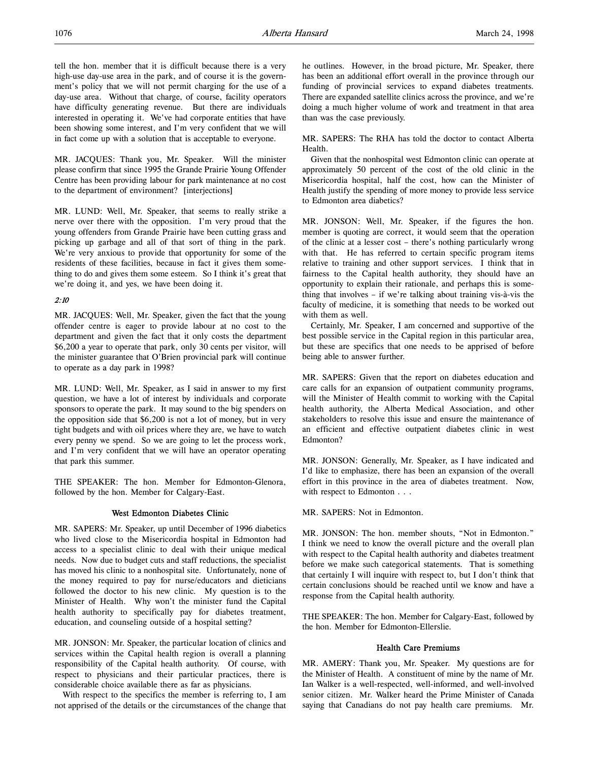MR. JACQUES: Thank you, Mr. Speaker. Will the minister please confirm that since 1995 the Grande Prairie Young Offender Centre has been providing labour for park maintenance at no cost to the department of environment? [interjections]

MR. LUND: Well, Mr. Speaker, that seems to really strike a nerve over there with the opposition. I'm very proud that the young offenders from Grande Prairie have been cutting grass and picking up garbage and all of that sort of thing in the park. We're very anxious to provide that opportunity for some of the residents of these facilities, because in fact it gives them something to do and gives them some esteem. So I think it's great that we're doing it, and yes, we have been doing it.

## 2:10

MR. JACQUES: Well, Mr. Speaker, given the fact that the young offender centre is eager to provide labour at no cost to the department and given the fact that it only costs the department \$6,200 a year to operate that park, only 30 cents per visitor, will the minister guarantee that O'Brien provincial park will continue to operate as a day park in 1998?

MR. LUND: Well, Mr. Speaker, as I said in answer to my first question, we have a lot of interest by individuals and corporate sponsors to operate the park. It may sound to the big spenders on the opposition side that \$6,200 is not a lot of money, but in very tight budgets and with oil prices where they are, we have to watch every penny we spend. So we are going to let the process work, and I'm very confident that we will have an operator operating that park this summer.

THE SPEAKER: The hon. Member for Edmonton-Glenora, followed by the hon. Member for Calgary-East.

## West Edmonton Diabetes Clinic

MR. SAPERS: Mr. Speaker, up until December of 1996 diabetics who lived close to the Misericordia hospital in Edmonton had access to a specialist clinic to deal with their unique medical needs. Now due to budget cuts and staff reductions, the specialist has moved his clinic to a nonhospital site. Unfortunately, none of the money required to pay for nurse/educators and dieticians followed the doctor to his new clinic. My question is to the Minister of Health. Why won't the minister fund the Capital health authority to specifically pay for diabetes treatment, education, and counseling outside of a hospital setting?

MR. JONSON: Mr. Speaker, the particular location of clinics and services within the Capital health region is overall a planning responsibility of the Capital health authority. Of course, with respect to physicians and their particular practices, there is considerable choice available there as far as physicians.

With respect to the specifics the member is referring to, I am not apprised of the details or the circumstances of the change that he outlines. However, in the broad picture, Mr. Speaker, there has been an additional effort overall in the province through our funding of provincial services to expand diabetes treatments. There are expanded satellite clinics across the province, and we're doing a much higher volume of work and treatment in that area than was the case previously.

MR. SAPERS: The RHA has told the doctor to contact Alberta Health.

Given that the nonhospital west Edmonton clinic can operate at approximately 50 percent of the cost of the old clinic in the Misericordia hospital, half the cost, how can the Minister of Health justify the spending of more money to provide less service to Edmonton area diabetics?

MR. JONSON: Well, Mr. Speaker, if the figures the hon. member is quoting are correct, it would seem that the operation of the clinic at a lesser cost – there's nothing particularly wrong with that. He has referred to certain specific program items relative to training and other support services. I think that in fairness to the Capital health authority, they should have an opportunity to explain their rationale, and perhaps this is something that involves – if we're talking about training vis-à-vis the faculty of medicine, it is something that needs to be worked out with them as well.

Certainly, Mr. Speaker, I am concerned and supportive of the best possible service in the Capital region in this particular area, but these are specifics that one needs to be apprised of before being able to answer further.

MR. SAPERS: Given that the report on diabetes education and care calls for an expansion of outpatient community programs, will the Minister of Health commit to working with the Capital health authority, the Alberta Medical Association, and other stakeholders to resolve this issue and ensure the maintenance of an efficient and effective outpatient diabetes clinic in west Edmonton?

MR. JONSON: Generally, Mr. Speaker, as I have indicated and I'd like to emphasize, there has been an expansion of the overall effort in this province in the area of diabetes treatment. Now, with respect to Edmonton . . .

MR. SAPERS: Not in Edmonton.

MR. JONSON: The hon. member shouts, "Not in Edmonton." I think we need to know the overall picture and the overall plan with respect to the Capital health authority and diabetes treatment before we make such categorical statements. That is something that certainly I will inquire with respect to, but I don't think that certain conclusions should be reached until we know and have a response from the Capital health authority.

THE SPEAKER: The hon. Member for Calgary-East, followed by the hon. Member for Edmonton-Ellerslie.

## Health Care Premiums

MR. AMERY: Thank you, Mr. Speaker. My questions are for the Minister of Health. A constituent of mine by the name of Mr. Ian Walker is a well-respected, well-informed, and well-involved senior citizen. Mr. Walker heard the Prime Minister of Canada saying that Canadians do not pay health care premiums. Mr.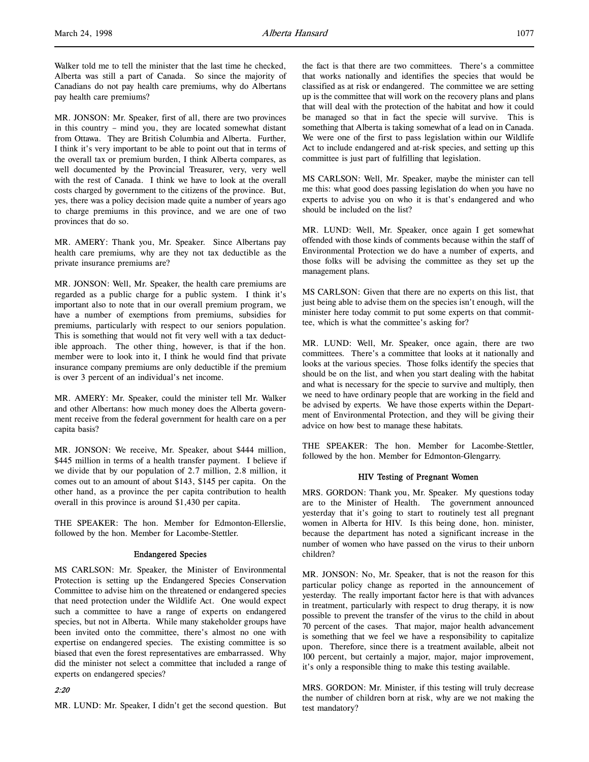Walker told me to tell the minister that the last time he checked, Alberta was still a part of Canada. So since the majority of Canadians do not pay health care premiums, why do Albertans pay health care premiums?

MR. JONSON: Mr. Speaker, first of all, there are two provinces in this country – mind you, they are located somewhat distant from Ottawa. They are British Columbia and Alberta. Further, I think it's very important to be able to point out that in terms of the overall tax or premium burden, I think Alberta compares, as well documented by the Provincial Treasurer, very, very well with the rest of Canada. I think we have to look at the overall costs charged by government to the citizens of the province. But, yes, there was a policy decision made quite a number of years ago to charge premiums in this province, and we are one of two provinces that do so.

MR. AMERY: Thank you, Mr. Speaker. Since Albertans pay health care premiums, why are they not tax deductible as the private insurance premiums are?

MR. JONSON: Well, Mr. Speaker, the health care premiums are regarded as a public charge for a public system. I think it's important also to note that in our overall premium program, we have a number of exemptions from premiums, subsidies for premiums, particularly with respect to our seniors population. This is something that would not fit very well with a tax deductible approach. The other thing, however, is that if the hon. member were to look into it, I think he would find that private insurance company premiums are only deductible if the premium is over 3 percent of an individual's net income.

MR. AMERY: Mr. Speaker, could the minister tell Mr. Walker and other Albertans: how much money does the Alberta government receive from the federal government for health care on a per capita basis?

MR. JONSON: We receive, Mr. Speaker, about \$444 million, \$445 million in terms of a health transfer payment. I believe if we divide that by our population of 2.7 million, 2.8 million, it comes out to an amount of about \$143, \$145 per capita. On the other hand, as a province the per capita contribution to health overall in this province is around \$1,430 per capita.

THE SPEAKER: The hon. Member for Edmonton-Ellerslie, followed by the hon. Member for Lacombe-Stettler.

## Endangered Species

MS CARLSON: Mr. Speaker, the Minister of Environmental Protection is setting up the Endangered Species Conservation Committee to advise him on the threatened or endangered species that need protection under the Wildlife Act. One would expect such a committee to have a range of experts on endangered species, but not in Alberta. While many stakeholder groups have been invited onto the committee, there's almost no one with expertise on endangered species. The existing committee is so biased that even the forest representatives are embarrassed. Why did the minister not select a committee that included a range of experts on endangered species?

#### 2:20

MR. LUND: Mr. Speaker, I didn't get the second question. But

the fact is that there are two committees. There's a committee that works nationally and identifies the species that would be classified as at risk or endangered. The committee we are setting up is the committee that will work on the recovery plans and plans that will deal with the protection of the habitat and how it could be managed so that in fact the specie will survive. This is something that Alberta is taking somewhat of a lead on in Canada. We were one of the first to pass legislation within our Wildlife Act to include endangered and at-risk species, and setting up this committee is just part of fulfilling that legislation.

MS CARLSON: Well, Mr. Speaker, maybe the minister can tell me this: what good does passing legislation do when you have no experts to advise you on who it is that's endangered and who should be included on the list?

MR. LUND: Well, Mr. Speaker, once again I get somewhat offended with those kinds of comments because within the staff of Environmental Protection we do have a number of experts, and those folks will be advising the committee as they set up the management plans.

MS CARLSON: Given that there are no experts on this list, that just being able to advise them on the species isn't enough, will the minister here today commit to put some experts on that committee, which is what the committee's asking for?

MR. LUND: Well, Mr. Speaker, once again, there are two committees. There's a committee that looks at it nationally and looks at the various species. Those folks identify the species that should be on the list, and when you start dealing with the habitat and what is necessary for the specie to survive and multiply, then we need to have ordinary people that are working in the field and be advised by experts. We have those experts within the Department of Environmental Protection, and they will be giving their advice on how best to manage these habitats.

THE SPEAKER: The hon. Member for Lacombe-Stettler, followed by the hon. Member for Edmonton-Glengarry.

## HIV Testing of Pregnant Women

MRS. GORDON: Thank you, Mr. Speaker. My questions today are to the Minister of Health. The government announced yesterday that it's going to start to routinely test all pregnant women in Alberta for HIV. Is this being done, hon. minister, because the department has noted a significant increase in the number of women who have passed on the virus to their unborn children?

MR. JONSON: No, Mr. Speaker, that is not the reason for this particular policy change as reported in the announcement of yesterday. The really important factor here is that with advances in treatment, particularly with respect to drug therapy, it is now possible to prevent the transfer of the virus to the child in about 70 percent of the cases. That major, major health advancement is something that we feel we have a responsibility to capitalize upon. Therefore, since there is a treatment available, albeit not 100 percent, but certainly a major, major, major improvement, it's only a responsible thing to make this testing available.

MRS. GORDON: Mr. Minister, if this testing will truly decrease the number of children born at risk, why are we not making the test mandatory?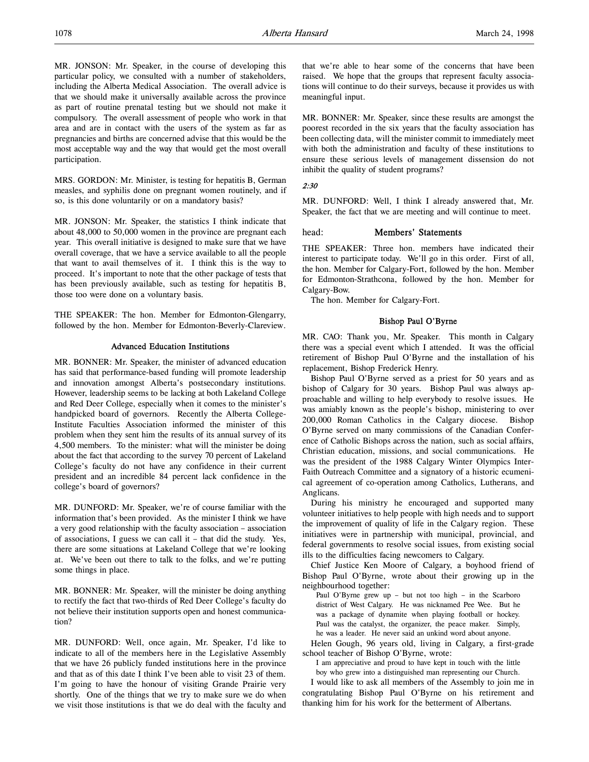MR. JONSON: Mr. Speaker, in the course of developing this particular policy, we consulted with a number of stakeholders, including the Alberta Medical Association. The overall advice is that we should make it universally available across the province as part of routine prenatal testing but we should not make it compulsory. The overall assessment of people who work in that area and are in contact with the users of the system as far as pregnancies and births are concerned advise that this would be the most acceptable way and the way that would get the most overall participation.

MRS. GORDON: Mr. Minister, is testing for hepatitis B, German measles, and syphilis done on pregnant women routinely, and if so, is this done voluntarily or on a mandatory basis?

MR. JONSON: Mr. Speaker, the statistics I think indicate that about 48,000 to 50,000 women in the province are pregnant each year. This overall initiative is designed to make sure that we have overall coverage, that we have a service available to all the people that want to avail themselves of it. I think this is the way to proceed. It's important to note that the other package of tests that has been previously available, such as testing for hepatitis B, those too were done on a voluntary basis.

THE SPEAKER: The hon. Member for Edmonton-Glengarry, followed by the hon. Member for Edmonton-Beverly-Clareview.

## Advanced Education Institutions

MR. BONNER: Mr. Speaker, the minister of advanced education has said that performance-based funding will promote leadership and innovation amongst Alberta's postsecondary institutions. However, leadership seems to be lacking at both Lakeland College and Red Deer College, especially when it comes to the minister's handpicked board of governors. Recently the Alberta College-Institute Faculties Association informed the minister of this problem when they sent him the results of its annual survey of its 4,500 members. To the minister: what will the minister be doing about the fact that according to the survey 70 percent of Lakeland College's faculty do not have any confidence in their current president and an incredible 84 percent lack confidence in the college's board of governors?

MR. DUNFORD: Mr. Speaker, we're of course familiar with the information that's been provided. As the minister I think we have a very good relationship with the faculty association – association of associations, I guess we can call it – that did the study. Yes, there are some situations at Lakeland College that we're looking at. We've been out there to talk to the folks, and we're putting some things in place.

MR. BONNER: Mr. Speaker, will the minister be doing anything to rectify the fact that two-thirds of Red Deer College's faculty do not believe their institution supports open and honest communication?

MR. DUNFORD: Well, once again, Mr. Speaker, I'd like to indicate to all of the members here in the Legislative Assembly that we have 26 publicly funded institutions here in the province and that as of this date I think I've been able to visit 23 of them. I'm going to have the honour of visiting Grande Prairie very shortly. One of the things that we try to make sure we do when we visit those institutions is that we do deal with the faculty and

that we're able to hear some of the concerns that have been raised. We hope that the groups that represent faculty associations will continue to do their surveys, because it provides us with meaningful input.

MR. BONNER: Mr. Speaker, since these results are amongst the poorest recorded in the six years that the faculty association has been collecting data, will the minister commit to immediately meet with both the administration and faculty of these institutions to ensure these serious levels of management dissension do not inhibit the quality of student programs?

#### 2:30

MR. DUNFORD: Well, I think I already answered that, Mr. Speaker, the fact that we are meeting and will continue to meet.

## head: Members' Statements

THE SPEAKER: Three hon. members have indicated their interest to participate today. We'll go in this order. First of all, the hon. Member for Calgary-Fort, followed by the hon. Member for Edmonton-Strathcona, followed by the hon. Member for Calgary-Bow.

The hon. Member for Calgary-Fort.

#### Bishop Paul O'Byrne

MR. CAO: Thank you, Mr. Speaker. This month in Calgary there was a special event which I attended. It was the official retirement of Bishop Paul O'Byrne and the installation of his replacement, Bishop Frederick Henry.

Bishop Paul O'Byrne served as a priest for 50 years and as bishop of Calgary for 30 years. Bishop Paul was always approachable and willing to help everybody to resolve issues. He was amiably known as the people's bishop, ministering to over 200,000 Roman Catholics in the Calgary diocese. Bishop O'Byrne served on many commissions of the Canadian Conference of Catholic Bishops across the nation, such as social affairs, Christian education, missions, and social communications. He was the president of the 1988 Calgary Winter Olympics Inter-Faith Outreach Committee and a signatory of a historic ecumenical agreement of co-operation among Catholics, Lutherans, and Anglicans.

During his ministry he encouraged and supported many volunteer initiatives to help people with high needs and to support the improvement of quality of life in the Calgary region. These initiatives were in partnership with municipal, provincial, and federal governments to resolve social issues, from existing social ills to the difficulties facing newcomers to Calgary.

Chief Justice Ken Moore of Calgary, a boyhood friend of Bishop Paul O'Byrne, wrote about their growing up in the neighbourhood together:

Paul O'Byrne grew up – but not too high – in the Scarboro district of West Calgary. He was nicknamed Pee Wee. But he was a package of dynamite when playing football or hockey. Paul was the catalyst, the organizer, the peace maker. Simply, he was a leader. He never said an unkind word about anyone.

Helen Gough, 96 years old, living in Calgary, a first-grade school teacher of Bishop O'Byrne, wrote:

I am appreciative and proud to have kept in touch with the little boy who grew into a distinguished man representing our Church.

I would like to ask all members of the Assembly to join me in congratulating Bishop Paul O'Byrne on his retirement and thanking him for his work for the betterment of Albertans.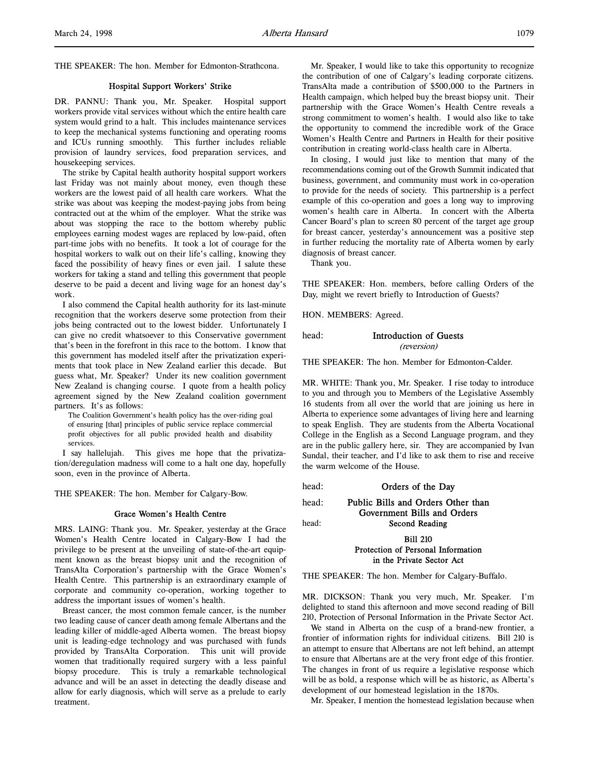#### Hospital Support Workers' Strike

DR. PANNU: Thank you, Mr. Speaker. Hospital support workers provide vital services without which the entire health care system would grind to a halt. This includes maintenance services to keep the mechanical systems functioning and operating rooms and ICUs running smoothly. This further includes reliable provision of laundry services, food preparation services, and housekeeping services.

The strike by Capital health authority hospital support workers last Friday was not mainly about money, even though these workers are the lowest paid of all health care workers. What the strike was about was keeping the modest-paying jobs from being contracted out at the whim of the employer. What the strike was about was stopping the race to the bottom whereby public employees earning modest wages are replaced by low-paid, often part-time jobs with no benefits. It took a lot of courage for the hospital workers to walk out on their life's calling, knowing they faced the possibility of heavy fines or even jail. I salute these workers for taking a stand and telling this government that people deserve to be paid a decent and living wage for an honest day's work.

I also commend the Capital health authority for its last-minute recognition that the workers deserve some protection from their jobs being contracted out to the lowest bidder. Unfortunately I can give no credit whatsoever to this Conservative government that's been in the forefront in this race to the bottom. I know that this government has modeled itself after the privatization experiments that took place in New Zealand earlier this decade. But guess what, Mr. Speaker? Under its new coalition government New Zealand is changing course. I quote from a health policy agreement signed by the New Zealand coalition government partners. It's as follows:

The Coalition Government's health policy has the over-riding goal of ensuring [that] principles of public service replace commercial profit objectives for all public provided health and disability services.

I say hallelujah. This gives me hope that the privatization/deregulation madness will come to a halt one day, hopefully soon, even in the province of Alberta.

THE SPEAKER: The hon. Member for Calgary-Bow.

## Grace Women's Health Centre

MRS. LAING: Thank you. Mr. Speaker, yesterday at the Grace Women's Health Centre located in Calgary-Bow I had the privilege to be present at the unveiling of state-of-the-art equipment known as the breast biopsy unit and the recognition of TransAlta Corporation's partnership with the Grace Women's Health Centre. This partnership is an extraordinary example of corporate and community co-operation, working together to address the important issues of women's health.

Breast cancer, the most common female cancer, is the number two leading cause of cancer death among female Albertans and the leading killer of middle-aged Alberta women. The breast biopsy unit is leading-edge technology and was purchased with funds provided by TransAlta Corporation. This unit will provide women that traditionally required surgery with a less painful biopsy procedure. This is truly a remarkable technological advance and will be an asset in detecting the deadly disease and allow for early diagnosis, which will serve as a prelude to early treatment.

Mr. Speaker, I would like to take this opportunity to recognize the contribution of one of Calgary's leading corporate citizens. TransAlta made a contribution of \$500,000 to the Partners in Health campaign, which helped buy the breast biopsy unit. Their partnership with the Grace Women's Health Centre reveals a strong commitment to women's health. I would also like to take the opportunity to commend the incredible work of the Grace Women's Health Centre and Partners in Health for their positive contribution in creating world-class health care in Alberta.

In closing, I would just like to mention that many of the recommendations coming out of the Growth Summit indicated that business, government, and community must work in co-operation to provide for the needs of society. This partnership is a perfect example of this co-operation and goes a long way to improving women's health care in Alberta. In concert with the Alberta Cancer Board's plan to screen 80 percent of the target age group for breast cancer, yesterday's announcement was a positive step in further reducing the mortality rate of Alberta women by early diagnosis of breast cancer.

Thank you.

THE SPEAKER: Hon. members, before calling Orders of the Day, might we revert briefly to Introduction of Guests?

HON. MEMBERS: Agreed.

| head: | Introduction of Guests |
|-------|------------------------|
|       | <i>(reversion)</i>     |

THE SPEAKER: The hon. Member for Edmonton-Calder.

MR. WHITE: Thank you, Mr. Speaker. I rise today to introduce to you and through you to Members of the Legislative Assembly 16 students from all over the world that are joining us here in Alberta to experience some advantages of living here and learning to speak English. They are students from the Alberta Vocational College in the English as a Second Language program, and they are in the public gallery here, sir. They are accompanied by Ivan Sundal, their teacher, and I'd like to ask them to rise and receive the warm welcome of the House.

head: **Orders of the Day** 

head: Public Bills and Orders Other than

head: Second Reading

## Bill 210 Protection of Personal Information in the Private Sector Act

Government Bills and Orders

THE SPEAKER: The hon. Member for Calgary-Buffalo.

MR. DICKSON: Thank you very much, Mr. Speaker. I'm delighted to stand this afternoon and move second reading of Bill 210, Protection of Personal Information in the Private Sector Act.

We stand in Alberta on the cusp of a brand-new frontier, a frontier of information rights for individual citizens. Bill 210 is an attempt to ensure that Albertans are not left behind, an attempt to ensure that Albertans are at the very front edge of this frontier. The changes in front of us require a legislative response which will be as bold, a response which will be as historic, as Alberta's development of our homestead legislation in the 1870s.

Mr. Speaker, I mention the homestead legislation because when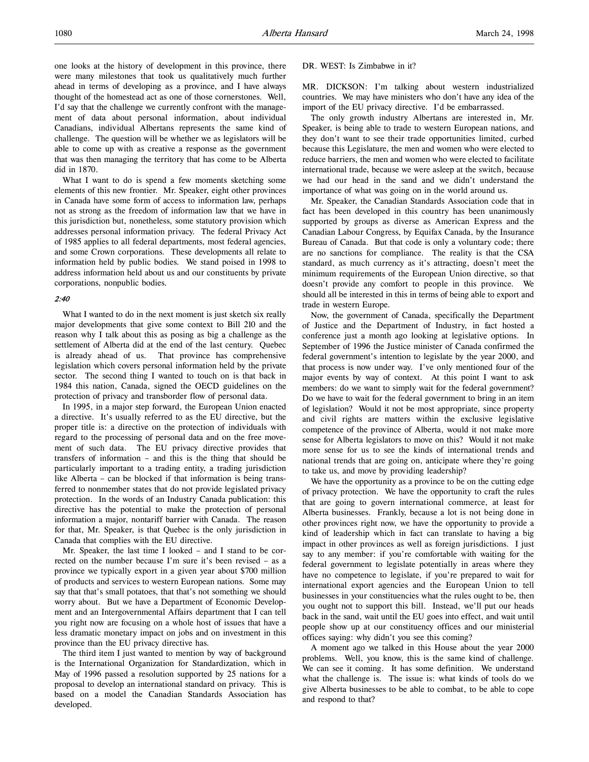one looks at the history of development in this province, there were many milestones that took us qualitatively much further ahead in terms of developing as a province, and I have always thought of the homestead act as one of those cornerstones. Well, I'd say that the challenge we currently confront with the management of data about personal information, about individual Canadians, individual Albertans represents the same kind of challenge. The question will be whether we as legislators will be able to come up with as creative a response as the government that was then managing the territory that has come to be Alberta did in 1870.

What I want to do is spend a few moments sketching some elements of this new frontier. Mr. Speaker, eight other provinces in Canada have some form of access to information law, perhaps not as strong as the freedom of information law that we have in this jurisdiction but, nonetheless, some statutory provision which addresses personal information privacy. The federal Privacy Act of 1985 applies to all federal departments, most federal agencies, and some Crown corporations. These developments all relate to information held by public bodies. We stand poised in 1998 to address information held about us and our constituents by private corporations, nonpublic bodies.

#### 2:40

What I wanted to do in the next moment is just sketch six really major developments that give some context to Bill 210 and the reason why I talk about this as posing as big a challenge as the settlement of Alberta did at the end of the last century. Quebec is already ahead of us. That province has comprehensive legislation which covers personal information held by the private sector. The second thing I wanted to touch on is that back in 1984 this nation, Canada, signed the OECD guidelines on the protection of privacy and transborder flow of personal data.

In 1995, in a major step forward, the European Union enacted a directive. It's usually referred to as the EU directive, but the proper title is: a directive on the protection of individuals with regard to the processing of personal data and on the free movement of such data. The EU privacy directive provides that transfers of information – and this is the thing that should be particularly important to a trading entity, a trading jurisdiction like Alberta – can be blocked if that information is being transferred to nonmember states that do not provide legislated privacy protection. In the words of an Industry Canada publication: this directive has the potential to make the protection of personal information a major, nontariff barrier with Canada. The reason for that, Mr. Speaker, is that Quebec is the only jurisdiction in Canada that complies with the EU directive.

Mr. Speaker, the last time I looked – and I stand to be corrected on the number because I'm sure it's been revised – as a province we typically export in a given year about \$700 million of products and services to western European nations. Some may say that that's small potatoes, that that's not something we should worry about. But we have a Department of Economic Development and an Intergovernmental Affairs department that I can tell you right now are focusing on a whole host of issues that have a less dramatic monetary impact on jobs and on investment in this province than the EU privacy directive has.

The third item I just wanted to mention by way of background is the International Organization for Standardization, which in May of 1996 passed a resolution supported by 25 nations for a proposal to develop an international standard on privacy. This is based on a model the Canadian Standards Association has developed.

#### DR. WEST: Is Zimbabwe in it?

MR. DICKSON: I'm talking about western industrialized countries. We may have ministers who don't have any idea of the import of the EU privacy directive. I'd be embarrassed.

The only growth industry Albertans are interested in, Mr. Speaker, is being able to trade to western European nations, and they don't want to see their trade opportunities limited, curbed because this Legislature, the men and women who were elected to reduce barriers, the men and women who were elected to facilitate international trade, because we were asleep at the switch, because we had our head in the sand and we didn't understand the importance of what was going on in the world around us.

Mr. Speaker, the Canadian Standards Association code that in fact has been developed in this country has been unanimously supported by groups as diverse as American Express and the Canadian Labour Congress, by Equifax Canada, by the Insurance Bureau of Canada. But that code is only a voluntary code; there are no sanctions for compliance. The reality is that the CSA standard, as much currency as it's attracting, doesn't meet the minimum requirements of the European Union directive, so that doesn't provide any comfort to people in this province. We should all be interested in this in terms of being able to export and trade in western Europe.

Now, the government of Canada, specifically the Department of Justice and the Department of Industry, in fact hosted a conference just a month ago looking at legislative options. In September of 1996 the Justice minister of Canada confirmed the federal government's intention to legislate by the year 2000, and that process is now under way. I've only mentioned four of the major events by way of context. At this point I want to ask members: do we want to simply wait for the federal government? Do we have to wait for the federal government to bring in an item of legislation? Would it not be most appropriate, since property and civil rights are matters within the exclusive legislative competence of the province of Alberta, would it not make more sense for Alberta legislators to move on this? Would it not make more sense for us to see the kinds of international trends and national trends that are going on, anticipate where they're going to take us, and move by providing leadership?

We have the opportunity as a province to be on the cutting edge of privacy protection. We have the opportunity to craft the rules that are going to govern international commerce, at least for Alberta businesses. Frankly, because a lot is not being done in other provinces right now, we have the opportunity to provide a kind of leadership which in fact can translate to having a big impact in other provinces as well as foreign jurisdictions. I just say to any member: if you're comfortable with waiting for the federal government to legislate potentially in areas where they have no competence to legislate, if you're prepared to wait for international export agencies and the European Union to tell businesses in your constituencies what the rules ought to be, then you ought not to support this bill. Instead, we'll put our heads back in the sand, wait until the EU goes into effect, and wait until people show up at our constituency offices and our ministerial offices saying: why didn't you see this coming?

A moment ago we talked in this House about the year 2000 problems. Well, you know, this is the same kind of challenge. We can see it coming. It has some definition. We understand what the challenge is. The issue is: what kinds of tools do we give Alberta businesses to be able to combat, to be able to cope and respond to that?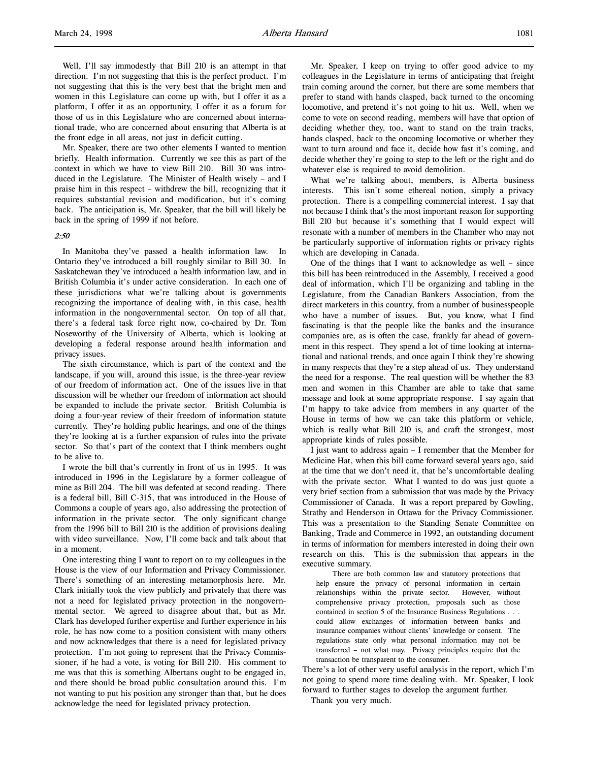Well, I'll say immodestly that Bill 210 is an attempt in that direction. I'm not suggesting that this is the perfect product. I'm not suggesting that this is the very best that the bright men and women in this Legislature can come up with, but I offer it as a platform, I offer it as an opportunity, I offer it as a forum for those of us in this Legislature who are concerned about international trade, who are concerned about ensuring that Alberta is at the front edge in all areas, not just in deficit cutting.

Mr. Speaker, there are two other elements I wanted to mention briefly. Health information. Currently we see this as part of the context in which we have to view Bill 210. Bill 30 was introduced in the Legislature. The Minister of Health wisely – and I praise him in this respect – withdrew the bill, recognizing that it requires substantial revision and modification, but it's coming back. The anticipation is, Mr. Speaker, that the bill will likely be back in the spring of 1999 if not before.

#### 2:50

In Manitoba they've passed a health information law. In Ontario they've introduced a bill roughly similar to Bill 30. In Saskatchewan they've introduced a health information law, and in British Columbia it's under active consideration. In each one of these jurisdictions what we're talking about is governments recognizing the importance of dealing with, in this case, health information in the nongovernmental sector. On top of all that, there's a federal task force right now, co-chaired by Dr. Tom Noseworthy of the University of Alberta, which is looking at developing a federal response around health information and privacy issues.

The sixth circumstance, which is part of the context and the landscape, if you will, around this issue, is the three-year review of our freedom of information act. One of the issues live in that discussion will be whether our freedom of information act should be expanded to include the private sector. British Columbia is doing a four-year review of their freedom of information statute currently. They're holding public hearings, and one of the things they're looking at is a further expansion of rules into the private sector. So that's part of the context that I think members ought to be alive to.

I wrote the bill that's currently in front of us in 1995. It was introduced in 1996 in the Legislature by a former colleague of mine as Bill 204. The bill was defeated at second reading. There is a federal bill, Bill C-315, that was introduced in the House of Commons a couple of years ago, also addressing the protection of information in the private sector. The only significant change from the 1996 bill to Bill 210 is the addition of provisions dealing with video surveillance. Now, I'll come back and talk about that in a moment.

One interesting thing I want to report on to my colleagues in the House is the view of our Information and Privacy Commissioner. There's something of an interesting metamorphosis here. Mr. Clark initially took the view publicly and privately that there was not a need for legislated privacy protection in the nongovernmental sector. We agreed to disagree about that, but as Mr. Clark has developed further expertise and further experience in his role, he has now come to a position consistent with many others and now acknowledges that there is a need for legislated privacy protection. I'm not going to represent that the Privacy Commissioner, if he had a vote, is voting for Bill 210. His comment to me was that this is something Albertans ought to be engaged in, and there should be broad public consultation around this. I'm not wanting to put his position any stronger than that, but he does acknowledge the need for legislated privacy protection.

Mr. Speaker, I keep on trying to offer good advice to my colleagues in the Legislature in terms of anticipating that freight train coming around the corner, but there are some members that prefer to stand with hands clasped, back turned to the oncoming locomotive, and pretend it's not going to hit us. Well, when we come to vote on second reading, members will have that option of deciding whether they, too, want to stand on the train tracks, hands clasped, back to the oncoming locomotive or whether they want to turn around and face it, decide how fast it's coming, and decide whether they're going to step to the left or the right and do whatever else is required to avoid demolition.

What we're talking about, members, is Alberta business interests. This isn't some ethereal notion, simply a privacy protection. There is a compelling commercial interest. I say that not because I think that's the most important reason for supporting Bill 210 but because it's something that I would expect will resonate with a number of members in the Chamber who may not be particularly supportive of information rights or privacy rights which are developing in Canada.

One of the things that I want to acknowledge as well – since this bill has been reintroduced in the Assembly, I received a good deal of information, which I'll be organizing and tabling in the Legislature, from the Canadian Bankers Association, from the direct marketers in this country, from a number of businesspeople who have a number of issues. But, you know, what I find fascinating is that the people like the banks and the insurance companies are, as is often the case, frankly far ahead of government in this respect. They spend a lot of time looking at international and national trends, and once again I think they're showing in many respects that they're a step ahead of us. They understand the need for a response. The real question will be whether the 83 men and women in this Chamber are able to take that same message and look at some appropriate response. I say again that I'm happy to take advice from members in any quarter of the House in terms of how we can take this platform or vehicle, which is really what Bill 210 is, and craft the strongest, most appropriate kinds of rules possible.

I just want to address again – I remember that the Member for Medicine Hat, when this bill came forward several years ago, said at the time that we don't need it, that he's uncomfortable dealing with the private sector. What I wanted to do was just quote a very brief section from a submission that was made by the Privacy Commissioner of Canada. It was a report prepared by Gowling, Strathy and Henderson in Ottawa for the Privacy Commissioner. This was a presentation to the Standing Senate Committee on Banking, Trade and Commerce in 1992, an outstanding document in terms of information for members interested in doing their own research on this. This is the submission that appears in the executive summary.

There are both common law and statutory protections that help ensure the privacy of personal information in certain relationships within the private sector. However, without comprehensive privacy protection, proposals such as those contained in section 5 of the Insurance Business Regulations . . . could allow exchanges of information between banks and insurance companies without clients' knowledge or consent. The regulations state only what personal information may not be transferred – not what may. Privacy principles require that the transaction be transparent to the consumer.

There's a lot of other very useful analysis in the report, which I'm not going to spend more time dealing with. Mr. Speaker, I look forward to further stages to develop the argument further.

Thank you very much.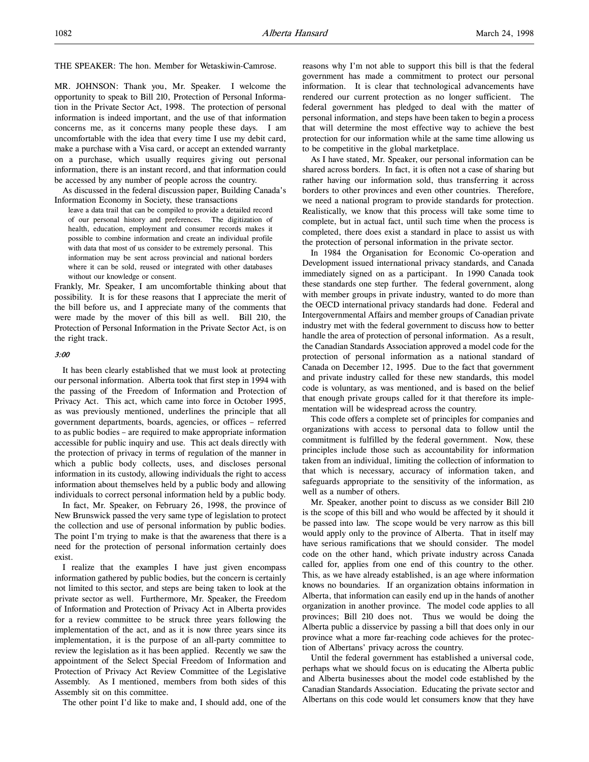THE SPEAKER: The hon. Member for Wetaskiwin-Camrose.

MR. JOHNSON: Thank you, Mr. Speaker. I welcome the opportunity to speak to Bill 210, Protection of Personal Information in the Private Sector Act, 1998. The protection of personal information is indeed important, and the use of that information concerns me, as it concerns many people these days. I am uncomfortable with the idea that every time I use my debit card, make a purchase with a Visa card, or accept an extended warranty on a purchase, which usually requires giving out personal information, there is an instant record, and that information could be accessed by any number of people across the country.

As discussed in the federal discussion paper, Building Canada's Information Economy in Society, these transactions

leave a data trail that can be compiled to provide a detailed record of our personal history and preferences. The digitization of health, education, employment and consumer records makes it possible to combine information and create an individual profile with data that most of us consider to be extremely personal. This information may be sent across provincial and national borders where it can be sold, reused or integrated with other databases without our knowledge or consent.

Frankly, Mr. Speaker, I am uncomfortable thinking about that possibility. It is for these reasons that I appreciate the merit of the bill before us, and I appreciate many of the comments that were made by the mover of this bill as well. Bill 210, the Protection of Personal Information in the Private Sector Act, is on the right track.

#### 3:00

It has been clearly established that we must look at protecting our personal information. Alberta took that first step in 1994 with the passing of the Freedom of Information and Protection of Privacy Act. This act, which came into force in October 1995, as was previously mentioned, underlines the principle that all government departments, boards, agencies, or offices – referred to as public bodies – are required to make appropriate information accessible for public inquiry and use. This act deals directly with the protection of privacy in terms of regulation of the manner in which a public body collects, uses, and discloses personal information in its custody, allowing individuals the right to access information about themselves held by a public body and allowing individuals to correct personal information held by a public body.

In fact, Mr. Speaker, on February 26, 1998, the province of New Brunswick passed the very same type of legislation to protect the collection and use of personal information by public bodies. The point I'm trying to make is that the awareness that there is a need for the protection of personal information certainly does exist.

I realize that the examples I have just given encompass information gathered by public bodies, but the concern is certainly not limited to this sector, and steps are being taken to look at the private sector as well. Furthermore, Mr. Speaker, the Freedom of Information and Protection of Privacy Act in Alberta provides for a review committee to be struck three years following the implementation of the act, and as it is now three years since its implementation, it is the purpose of an all-party committee to review the legislation as it has been applied. Recently we saw the appointment of the Select Special Freedom of Information and Protection of Privacy Act Review Committee of the Legislative Assembly. As I mentioned, members from both sides of this Assembly sit on this committee.

The other point I'd like to make and, I should add, one of the

reasons why I'm not able to support this bill is that the federal government has made a commitment to protect our personal information. It is clear that technological advancements have rendered our current protection as no longer sufficient. The federal government has pledged to deal with the matter of personal information, and steps have been taken to begin a process that will determine the most effective way to achieve the best protection for our information while at the same time allowing us to be competitive in the global marketplace.

As I have stated, Mr. Speaker, our personal information can be shared across borders. In fact, it is often not a case of sharing but rather having our information sold, thus transferring it across borders to other provinces and even other countries. Therefore, we need a national program to provide standards for protection. Realistically, we know that this process will take some time to complete, but in actual fact, until such time when the process is completed, there does exist a standard in place to assist us with the protection of personal information in the private sector.

In 1984 the Organisation for Economic Co-operation and Development issued international privacy standards, and Canada immediately signed on as a participant. In 1990 Canada took these standards one step further. The federal government, along with member groups in private industry, wanted to do more than the OECD international privacy standards had done. Federal and Intergovernmental Affairs and member groups of Canadian private industry met with the federal government to discuss how to better handle the area of protection of personal information. As a result, the Canadian Standards Association approved a model code for the protection of personal information as a national standard of Canada on December 12, 1995. Due to the fact that government and private industry called for these new standards, this model code is voluntary, as was mentioned, and is based on the belief that enough private groups called for it that therefore its implementation will be widespread across the country.

This code offers a complete set of principles for companies and organizations with access to personal data to follow until the commitment is fulfilled by the federal government. Now, these principles include those such as accountability for information taken from an individual, limiting the collection of information to that which is necessary, accuracy of information taken, and safeguards appropriate to the sensitivity of the information, as well as a number of others.

Mr. Speaker, another point to discuss as we consider Bill 210 is the scope of this bill and who would be affected by it should it be passed into law. The scope would be very narrow as this bill would apply only to the province of Alberta. That in itself may have serious ramifications that we should consider. The model code on the other hand, which private industry across Canada called for, applies from one end of this country to the other. This, as we have already established, is an age where information knows no boundaries. If an organization obtains information in Alberta, that information can easily end up in the hands of another organization in another province. The model code applies to all provinces; Bill 210 does not. Thus we would be doing the Alberta public a disservice by passing a bill that does only in our province what a more far-reaching code achieves for the protection of Albertans' privacy across the country.

Until the federal government has established a universal code, perhaps what we should focus on is educating the Alberta public and Alberta businesses about the model code established by the Canadian Standards Association. Educating the private sector and Albertans on this code would let consumers know that they have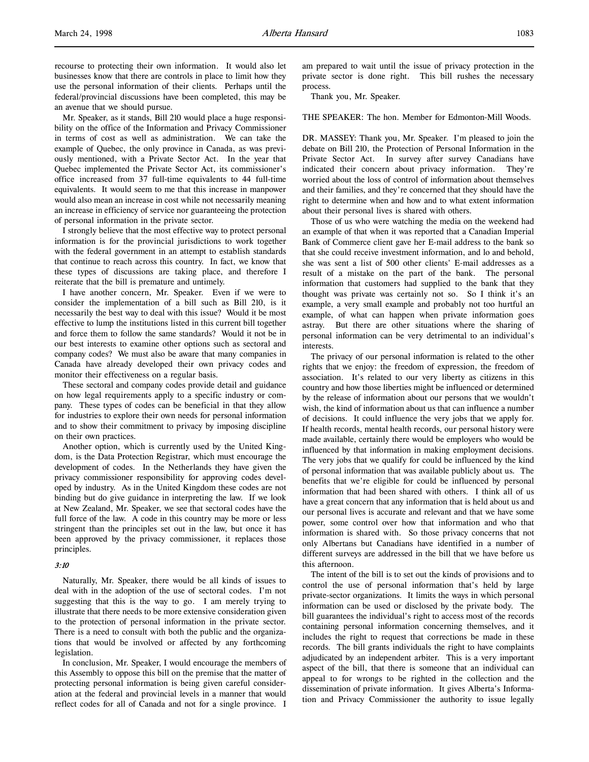recourse to protecting their own information. It would also let businesses know that there are controls in place to limit how they use the personal information of their clients. Perhaps until the federal/provincial discussions have been completed, this may be an avenue that we should pursue.

Mr. Speaker, as it stands, Bill 210 would place a huge responsibility on the office of the Information and Privacy Commissioner in terms of cost as well as administration. We can take the example of Quebec, the only province in Canada, as was previously mentioned, with a Private Sector Act. In the year that Quebec implemented the Private Sector Act, its commissioner's office increased from 37 full-time equivalents to 44 full-time equivalents. It would seem to me that this increase in manpower would also mean an increase in cost while not necessarily meaning an increase in efficiency of service nor guaranteeing the protection of personal information in the private sector.

I strongly believe that the most effective way to protect personal information is for the provincial jurisdictions to work together with the federal government in an attempt to establish standards that continue to reach across this country. In fact, we know that these types of discussions are taking place, and therefore I reiterate that the bill is premature and untimely.

I have another concern, Mr. Speaker. Even if we were to consider the implementation of a bill such as Bill 210, is it necessarily the best way to deal with this issue? Would it be most effective to lump the institutions listed in this current bill together and force them to follow the same standards? Would it not be in our best interests to examine other options such as sectoral and company codes? We must also be aware that many companies in Canada have already developed their own privacy codes and monitor their effectiveness on a regular basis.

These sectoral and company codes provide detail and guidance on how legal requirements apply to a specific industry or company. These types of codes can be beneficial in that they allow for industries to explore their own needs for personal information and to show their commitment to privacy by imposing discipline on their own practices.

Another option, which is currently used by the United Kingdom, is the Data Protection Registrar, which must encourage the development of codes. In the Netherlands they have given the privacy commissioner responsibility for approving codes developed by industry. As in the United Kingdom these codes are not binding but do give guidance in interpreting the law. If we look at New Zealand, Mr. Speaker, we see that sectoral codes have the full force of the law. A code in this country may be more or less stringent than the principles set out in the law, but once it has been approved by the privacy commissioner, it replaces those principles.

#### 3:10

Naturally, Mr. Speaker, there would be all kinds of issues to deal with in the adoption of the use of sectoral codes. I'm not suggesting that this is the way to go. I am merely trying to illustrate that there needs to be more extensive consideration given to the protection of personal information in the private sector. There is a need to consult with both the public and the organizations that would be involved or affected by any forthcoming legislation.

In conclusion, Mr. Speaker, I would encourage the members of this Assembly to oppose this bill on the premise that the matter of protecting personal information is being given careful consideration at the federal and provincial levels in a manner that would reflect codes for all of Canada and not for a single province. I

am prepared to wait until the issue of privacy protection in the private sector is done right. This bill rushes the necessary process.

Thank you, Mr. Speaker.

THE SPEAKER: The hon. Member for Edmonton-Mill Woods.

DR. MASSEY: Thank you, Mr. Speaker. I'm pleased to join the debate on Bill 210, the Protection of Personal Information in the Private Sector Act. In survey after survey Canadians have indicated their concern about privacy information. They're worried about the loss of control of information about themselves and their families, and they're concerned that they should have the right to determine when and how and to what extent information about their personal lives is shared with others.

Those of us who were watching the media on the weekend had an example of that when it was reported that a Canadian Imperial Bank of Commerce client gave her E-mail address to the bank so that she could receive investment information, and lo and behold, she was sent a list of 500 other clients' E-mail addresses as a result of a mistake on the part of the bank. The personal information that customers had supplied to the bank that they thought was private was certainly not so. So I think it's an example, a very small example and probably not too hurtful an example, of what can happen when private information goes astray. But there are other situations where the sharing of personal information can be very detrimental to an individual's interests.

The privacy of our personal information is related to the other rights that we enjoy: the freedom of expression, the freedom of association. It's related to our very liberty as citizens in this country and how those liberties might be influenced or determined by the release of information about our persons that we wouldn't wish, the kind of information about us that can influence a number of decisions. It could influence the very jobs that we apply for. If health records, mental health records, our personal history were made available, certainly there would be employers who would be influenced by that information in making employment decisions. The very jobs that we qualify for could be influenced by the kind of personal information that was available publicly about us. The benefits that we're eligible for could be influenced by personal information that had been shared with others. I think all of us have a great concern that any information that is held about us and our personal lives is accurate and relevant and that we have some power, some control over how that information and who that information is shared with. So those privacy concerns that not only Albertans but Canadians have identified in a number of different surveys are addressed in the bill that we have before us this afternoon.

The intent of the bill is to set out the kinds of provisions and to control the use of personal information that's held by large private-sector organizations. It limits the ways in which personal information can be used or disclosed by the private body. The bill guarantees the individual's right to access most of the records containing personal information concerning themselves, and it includes the right to request that corrections be made in these records. The bill grants individuals the right to have complaints adjudicated by an independent arbiter. This is a very important aspect of the bill, that there is someone that an individual can appeal to for wrongs to be righted in the collection and the dissemination of private information. It gives Alberta's Information and Privacy Commissioner the authority to issue legally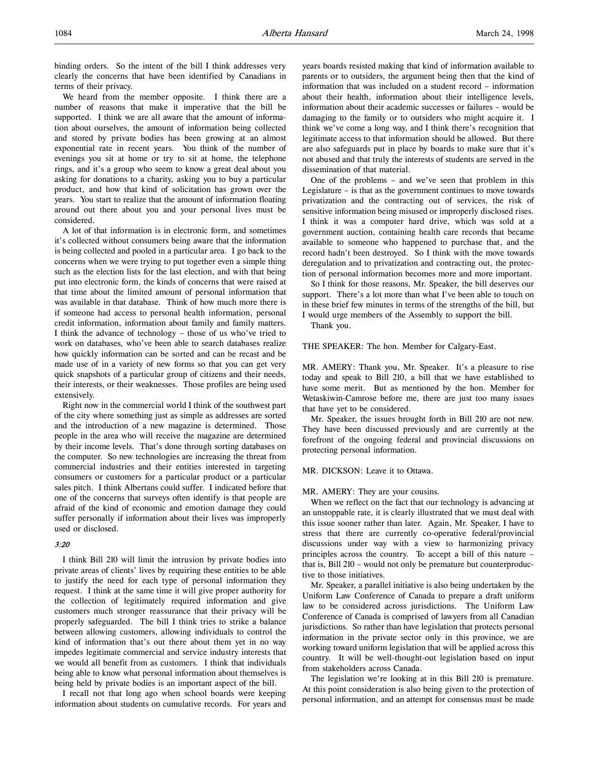binding orders. So the intent of the bill I think addresses very clearly the concerns that have been identified by Canadians in terms of their privacy.

We heard from the member opposite. I think there are a number of reasons that make it imperative that the bill be supported. I think we are all aware that the amount of information about ourselves, the amount of information being collected and stored by private bodies has been growing at an almost exponential rate in recent years. You think of the number of evenings you sit at home or try to sit at home, the telephone rings, and it's a group who seem to know a great deal about you asking for donations to a charity, asking you to buy a particular product, and how that kind of solicitation has grown over the years. You start to realize that the amount of information floating around out there about you and your personal lives must be considered.

A lot of that information is in electronic form, and sometimes it's collected without consumers being aware that the information is being collected and pooled in a particular area. I go back to the concerns when we were trying to put together even a simple thing such as the election lists for the last election, and with that being put into electronic form, the kinds of concerns that were raised at that time about the limited amount of personal information that was available in that database. Think of how much more there is if someone had access to personal health information, personal credit information, information about family and family matters. I think the advance of technology – those of us who've tried to work on databases, who've been able to search databases realize how quickly information can be sorted and can be recast and be made use of in a variety of new forms so that you can get very quick snapshots of a particular group of citizens and their needs, their interests, or their weaknesses. Those profiles are being used extensively.

Right now in the commercial world I think of the southwest part of the city where something just as simple as addresses are sorted and the introduction of a new magazine is determined. Those people in the area who will receive the magazine are determined by their income levels. That's done through sorting databases on the computer. So new technologies are increasing the threat from commercial industries and their entities interested in targeting consumers or customers for a particular product or a particular sales pitch. I think Albertans could suffer. I indicated before that one of the concerns that surveys often identify is that people are afraid of the kind of economic and emotion damage they could suffer personally if information about their lives was improperly used or disclosed.

## 3:20

I think Bill 210 will limit the intrusion by private bodies into private areas of clients' lives by requiring these entities to be able to justify the need for each type of personal information they request. I think at the same time it will give proper authority for the collection of legitimately required information and give customers much stronger reassurance that their privacy will be properly safeguarded. The bill I think tries to strike a balance between allowing customers, allowing individuals to control the kind of information that's out there about them yet in no way impedes legitimate commercial and service industry interests that we would all benefit from as customers. I think that individuals being able to know what personal information about themselves is being held by private bodies is an important aspect of the bill.

I recall not that long ago when school boards were keeping information about students on cumulative records. For years and years boards resisted making that kind of information available to parents or to outsiders, the argument being then that the kind of information that was included on a student record – information about their health, information about their intelligence levels, information about their academic successes or failures – would be damaging to the family or to outsiders who might acquire it. I think we've come a long way, and I think there's recognition that legitimate access to that information should be allowed. But there are also safeguards put in place by boards to make sure that it's not abused and that truly the interests of students are served in the dissemination of that material.

One of the problems – and we've seen that problem in this Legislature – is that as the government continues to move towards privatization and the contracting out of services, the risk of sensitive information being misused or improperly disclosed rises. I think it was a computer hard drive, which was sold at a government auction, containing health care records that became available to someone who happened to purchase that, and the record hadn't been destroyed. So I think with the move towards deregulation and to privatization and contracting out, the protection of personal information becomes more and more important.

So I think for those reasons, Mr. Speaker, the bill deserves our support. There's a lot more than what I've been able to touch on in these brief few minutes in terms of the strengths of the bill, but I would urge members of the Assembly to support the bill.

Thank you.

THE SPEAKER: The hon. Member for Calgary-East.

MR. AMERY: Thank you, Mr. Speaker. It's a pleasure to rise today and speak to Bill 210, a bill that we have established to have some merit. But as mentioned by the hon. Member for Wetaskiwin-Camrose before me, there are just too many issues that have yet to be considered.

Mr. Speaker, the issues brought forth in Bill 210 are not new. They have been discussed previously and are currently at the forefront of the ongoing federal and provincial discussions on protecting personal information.

#### MR. DICKSON: Leave it to Ottawa.

MR. AMERY: They are your cousins.

When we reflect on the fact that our technology is advancing at an unstoppable rate, it is clearly illustrated that we must deal with this issue sooner rather than later. Again, Mr. Speaker, I have to stress that there are currently co-operative federal/provincial discussions under way with a view to harmonizing privacy principles across the country. To accept a bill of this nature – that is, Bill 210 – would not only be premature but counterproductive to those initiatives.

Mr. Speaker, a parallel initiative is also being undertaken by the Uniform Law Conference of Canada to prepare a draft uniform law to be considered across jurisdictions. The Uniform Law Conference of Canada is comprised of lawyers from all Canadian jurisdictions. So rather than have legislation that protects personal information in the private sector only in this province, we are working toward uniform legislation that will be applied across this country. It will be well-thought-out legislation based on input from stakeholders across Canada.

The legislation we're looking at in this Bill 210 is premature. At this point consideration is also being given to the protection of personal information, and an attempt for consensus must be made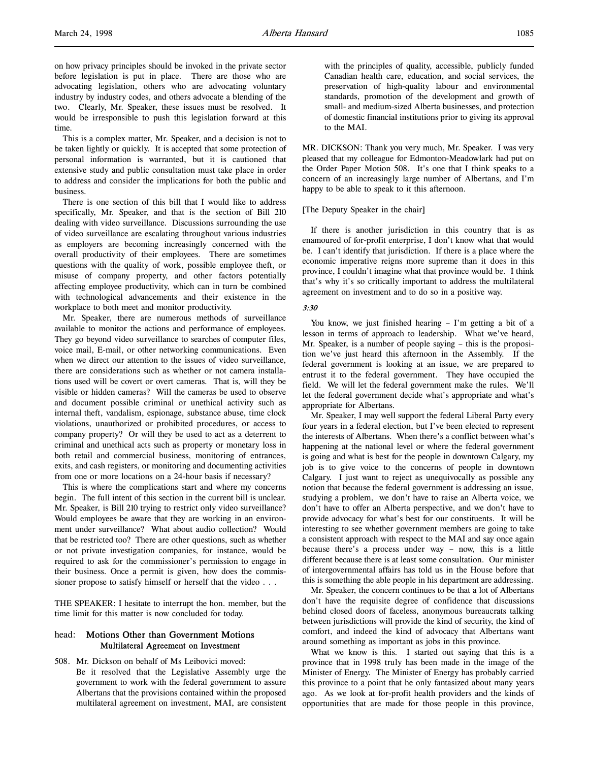on how privacy principles should be invoked in the private sector before legislation is put in place. There are those who are advocating legislation, others who are advocating voluntary industry by industry codes, and others advocate a blending of the two. Clearly, Mr. Speaker, these issues must be resolved. It would be irresponsible to push this legislation forward at this time.

This is a complex matter, Mr. Speaker, and a decision is not to be taken lightly or quickly. It is accepted that some protection of personal information is warranted, but it is cautioned that extensive study and public consultation must take place in order to address and consider the implications for both the public and business.

There is one section of this bill that I would like to address specifically, Mr. Speaker, and that is the section of Bill 210 dealing with video surveillance. Discussions surrounding the use of video surveillance are escalating throughout various industries as employers are becoming increasingly concerned with the overall productivity of their employees. There are sometimes questions with the quality of work, possible employee theft, or misuse of company property, and other factors potentially affecting employee productivity, which can in turn be combined with technological advancements and their existence in the workplace to both meet and monitor productivity.

Mr. Speaker, there are numerous methods of surveillance available to monitor the actions and performance of employees. They go beyond video surveillance to searches of computer files, voice mail, E-mail, or other networking communications. Even when we direct our attention to the issues of video surveillance, there are considerations such as whether or not camera installations used will be covert or overt cameras. That is, will they be visible or hidden cameras? Will the cameras be used to observe and document possible criminal or unethical activity such as internal theft, vandalism, espionage, substance abuse, time clock violations, unauthorized or prohibited procedures, or access to company property? Or will they be used to act as a deterrent to criminal and unethical acts such as property or monetary loss in both retail and commercial business, monitoring of entrances, exits, and cash registers, or monitoring and documenting activities from one or more locations on a 24-hour basis if necessary?

This is where the complications start and where my concerns begin. The full intent of this section in the current bill is unclear. Mr. Speaker, is Bill 210 trying to restrict only video surveillance? Would employees be aware that they are working in an environment under surveillance? What about audio collection? Would that be restricted too? There are other questions, such as whether or not private investigation companies, for instance, would be required to ask for the commissioner's permission to engage in their business. Once a permit is given, how does the commissioner propose to satisfy himself or herself that the video . . .

THE SPEAKER: I hesitate to interrupt the hon. member, but the time limit for this matter is now concluded for today.

## head: Motions Other than Government Motions Multilateral Agreement on Investment

508. Mr. Dickson on behalf of Ms Leibovici moved: Be it resolved that the Legislative Assembly urge the government to work with the federal government to assure Albertans that the provisions contained within the proposed multilateral agreement on investment, MAI, are consistent

with the principles of quality, accessible, publicly funded Canadian health care, education, and social services, the preservation of high-quality labour and environmental standards, promotion of the development and growth of small- and medium-sized Alberta businesses, and protection of domestic financial institutions prior to giving its approval to the MAI.

MR. DICKSON: Thank you very much, Mr. Speaker. I was very pleased that my colleague for Edmonton-Meadowlark had put on the Order Paper Motion 508. It's one that I think speaks to a concern of an increasingly large number of Albertans, and I'm happy to be able to speak to it this afternoon.

#### [The Deputy Speaker in the chair]

If there is another jurisdiction in this country that is as enamoured of for-profit enterprise, I don't know what that would be. I can't identify that jurisdiction. If there is a place where the economic imperative reigns more supreme than it does in this province, I couldn't imagine what that province would be. I think that's why it's so critically important to address the multilateral agreement on investment and to do so in a positive way.

## 3:30

You know, we just finished hearing – I'm getting a bit of a lesson in terms of approach to leadership. What we've heard, Mr. Speaker, is a number of people saying – this is the proposition we've just heard this afternoon in the Assembly. If the federal government is looking at an issue, we are prepared to entrust it to the federal government. They have occupied the field. We will let the federal government make the rules. We'll let the federal government decide what's appropriate and what's appropriate for Albertans.

Mr. Speaker, I may well support the federal Liberal Party every four years in a federal election, but I've been elected to represent the interests of Albertans. When there's a conflict between what's happening at the national level or where the federal government is going and what is best for the people in downtown Calgary, my job is to give voice to the concerns of people in downtown Calgary. I just want to reject as unequivocally as possible any notion that because the federal government is addressing an issue, studying a problem, we don't have to raise an Alberta voice, we don't have to offer an Alberta perspective, and we don't have to provide advocacy for what's best for our constituents. It will be interesting to see whether government members are going to take a consistent approach with respect to the MAI and say once again because there's a process under way – now, this is a little different because there is at least some consultation. Our minister of intergovernmental affairs has told us in the House before that this is something the able people in his department are addressing.

Mr. Speaker, the concern continues to be that a lot of Albertans don't have the requisite degree of confidence that discussions behind closed doors of faceless, anonymous bureaucrats talking between jurisdictions will provide the kind of security, the kind of comfort, and indeed the kind of advocacy that Albertans want around something as important as jobs in this province.

What we know is this. I started out saying that this is a province that in 1998 truly has been made in the image of the Minister of Energy. The Minister of Energy has probably carried this province to a point that he only fantasized about many years ago. As we look at for-profit health providers and the kinds of opportunities that are made for those people in this province,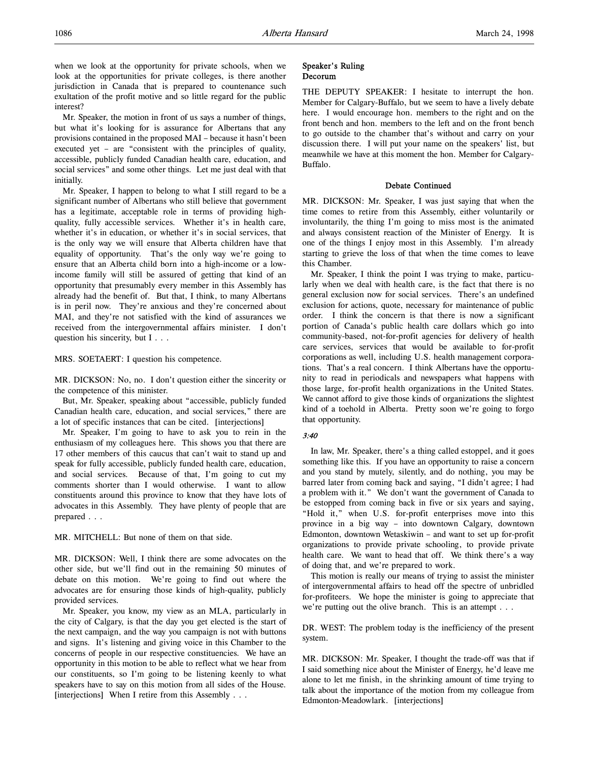when we look at the opportunity for private schools, when we look at the opportunities for private colleges, is there another jurisdiction in Canada that is prepared to countenance such exultation of the profit motive and so little regard for the public interest?

Mr. Speaker, the motion in front of us says a number of things, but what it's looking for is assurance for Albertans that any provisions contained in the proposed MAI – because it hasn't been executed yet – are "consistent with the principles of quality, accessible, publicly funded Canadian health care, education, and social services" and some other things. Let me just deal with that initially.

Mr. Speaker, I happen to belong to what I still regard to be a significant number of Albertans who still believe that government has a legitimate, acceptable role in terms of providing highquality, fully accessible services. Whether it's in health care, whether it's in education, or whether it's in social services, that is the only way we will ensure that Alberta children have that equality of opportunity. That's the only way we're going to ensure that an Alberta child born into a high-income or a lowincome family will still be assured of getting that kind of an opportunity that presumably every member in this Assembly has already had the benefit of. But that, I think, to many Albertans is in peril now. They're anxious and they're concerned about MAI, and they're not satisfied with the kind of assurances we received from the intergovernmental affairs minister. I don't question his sincerity, but I . . .

MRS. SOETAERT: I question his competence.

MR. DICKSON: No, no. I don't question either the sincerity or the competence of this minister.

But, Mr. Speaker, speaking about "accessible, publicly funded Canadian health care, education, and social services," there are a lot of specific instances that can be cited. [interjections]

Mr. Speaker, I'm going to have to ask you to rein in the enthusiasm of my colleagues here. This shows you that there are 17 other members of this caucus that can't wait to stand up and speak for fully accessible, publicly funded health care, education, and social services. Because of that, I'm going to cut my comments shorter than I would otherwise. I want to allow constituents around this province to know that they have lots of advocates in this Assembly. They have plenty of people that are prepared . . .

MR. MITCHELL: But none of them on that side.

MR. DICKSON: Well, I think there are some advocates on the other side, but we'll find out in the remaining 50 minutes of debate on this motion. We're going to find out where the advocates are for ensuring those kinds of high-quality, publicly provided services.

Mr. Speaker, you know, my view as an MLA, particularly in the city of Calgary, is that the day you get elected is the start of the next campaign, and the way you campaign is not with buttons and signs. It's listening and giving voice in this Chamber to the concerns of people in our respective constituencies. We have an opportunity in this motion to be able to reflect what we hear from our constituents, so I'm going to be listening keenly to what speakers have to say on this motion from all sides of the House. [interjections] When I retire from this Assembly . . .

#### Speaker's Ruling Decorum

THE DEPUTY SPEAKER: I hesitate to interrupt the hon. Member for Calgary-Buffalo, but we seem to have a lively debate here. I would encourage hon. members to the right and on the front bench and hon. members to the left and on the front bench to go outside to the chamber that's without and carry on your discussion there. I will put your name on the speakers' list, but meanwhile we have at this moment the hon. Member for Calgary-Buffalo.

#### Debate Continued

MR. DICKSON: Mr. Speaker, I was just saying that when the time comes to retire from this Assembly, either voluntarily or involuntarily, the thing I'm going to miss most is the animated and always consistent reaction of the Minister of Energy. It is one of the things I enjoy most in this Assembly. I'm already starting to grieve the loss of that when the time comes to leave this Chamber.

Mr. Speaker, I think the point I was trying to make, particularly when we deal with health care, is the fact that there is no general exclusion now for social services. There's an undefined exclusion for actions, quote, necessary for maintenance of public order. I think the concern is that there is now a significant portion of Canada's public health care dollars which go into community-based, not-for-profit agencies for delivery of health care services, services that would be available to for-profit corporations as well, including U.S. health management corporations. That's a real concern. I think Albertans have the opportunity to read in periodicals and newspapers what happens with those large, for-profit health organizations in the United States. We cannot afford to give those kinds of organizations the slightest kind of a toehold in Alberta. Pretty soon we're going to forgo that opportunity.

#### 3:40

In law, Mr. Speaker, there's a thing called estoppel, and it goes something like this. If you have an opportunity to raise a concern and you stand by mutely, silently, and do nothing, you may be barred later from coming back and saying, "I didn't agree; I had a problem with it." We don't want the government of Canada to be estopped from coming back in five or six years and saying, "Hold it," when U.S. for-profit enterprises move into this province in a big way – into downtown Calgary, downtown Edmonton, downtown Wetaskiwin – and want to set up for-profit organizations to provide private schooling, to provide private health care. We want to head that off. We think there's a way of doing that, and we're prepared to work.

This motion is really our means of trying to assist the minister of intergovernmental affairs to head off the spectre of unbridled for-profiteers. We hope the minister is going to appreciate that we're putting out the olive branch. This is an attempt . . .

DR. WEST: The problem today is the inefficiency of the present system.

MR. DICKSON: Mr. Speaker, I thought the trade-off was that if I said something nice about the Minister of Energy, he'd leave me alone to let me finish, in the shrinking amount of time trying to talk about the importance of the motion from my colleague from Edmonton-Meadowlark. [interjections]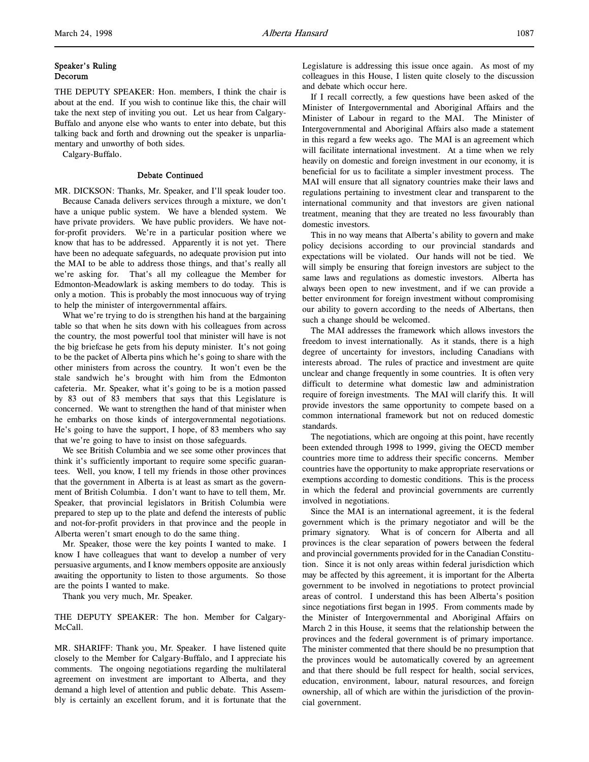THE DEPUTY SPEAKER: Hon. members, I think the chair is about at the end. If you wish to continue like this, the chair will take the next step of inviting you out. Let us hear from Calgary-Buffalo and anyone else who wants to enter into debate, but this talking back and forth and drowning out the speaker is unparliamentary and unworthy of both sides.

Calgary-Buffalo.

#### Debate Continued

MR. DICKSON: Thanks, Mr. Speaker, and I'll speak louder too. Because Canada delivers services through a mixture, we don't have a unique public system. We have a blended system. We have private providers. We have public providers. We have notfor-profit providers. We're in a particular position where we know that has to be addressed. Apparently it is not yet. There have been no adequate safeguards, no adequate provision put into the MAI to be able to address those things, and that's really all we're asking for. That's all my colleague the Member for Edmonton-Meadowlark is asking members to do today. This is only a motion. This is probably the most innocuous way of trying to help the minister of intergovernmental affairs.

What we're trying to do is strengthen his hand at the bargaining table so that when he sits down with his colleagues from across the country, the most powerful tool that minister will have is not the big briefcase he gets from his deputy minister. It's not going to be the packet of Alberta pins which he's going to share with the other ministers from across the country. It won't even be the stale sandwich he's brought with him from the Edmonton cafeteria. Mr. Speaker, what it's going to be is a motion passed by 83 out of 83 members that says that this Legislature is concerned. We want to strengthen the hand of that minister when he embarks on those kinds of intergovernmental negotiations. He's going to have the support, I hope, of 83 members who say that we're going to have to insist on those safeguards.

We see British Columbia and we see some other provinces that think it's sufficiently important to require some specific guarantees. Well, you know, I tell my friends in those other provinces that the government in Alberta is at least as smart as the government of British Columbia. I don't want to have to tell them, Mr. Speaker, that provincial legislators in British Columbia were prepared to step up to the plate and defend the interests of public and not-for-profit providers in that province and the people in Alberta weren't smart enough to do the same thing.

Mr. Speaker, those were the key points I wanted to make. I know I have colleagues that want to develop a number of very persuasive arguments, and I know members opposite are anxiously awaiting the opportunity to listen to those arguments. So those are the points I wanted to make.

Thank you very much, Mr. Speaker.

THE DEPUTY SPEAKER: The hon. Member for Calgary-McCall.

MR. SHARIFF: Thank you, Mr. Speaker. I have listened quite closely to the Member for Calgary-Buffalo, and I appreciate his comments. The ongoing negotiations regarding the multilateral agreement on investment are important to Alberta, and they demand a high level of attention and public debate. This Assembly is certainly an excellent forum, and it is fortunate that the Legislature is addressing this issue once again. As most of my colleagues in this House, I listen quite closely to the discussion and debate which occur here.

If I recall correctly, a few questions have been asked of the Minister of Intergovernmental and Aboriginal Affairs and the Minister of Labour in regard to the MAI. The Minister of Intergovernmental and Aboriginal Affairs also made a statement in this regard a few weeks ago. The MAI is an agreement which will facilitate international investment. At a time when we rely heavily on domestic and foreign investment in our economy, it is beneficial for us to facilitate a simpler investment process. The MAI will ensure that all signatory countries make their laws and regulations pertaining to investment clear and transparent to the international community and that investors are given national treatment, meaning that they are treated no less favourably than domestic investors.

This in no way means that Alberta's ability to govern and make policy decisions according to our provincial standards and expectations will be violated. Our hands will not be tied. We will simply be ensuring that foreign investors are subject to the same laws and regulations as domestic investors. Alberta has always been open to new investment, and if we can provide a better environment for foreign investment without compromising our ability to govern according to the needs of Albertans, then such a change should be welcomed.

The MAI addresses the framework which allows investors the freedom to invest internationally. As it stands, there is a high degree of uncertainty for investors, including Canadians with interests abroad. The rules of practice and investment are quite unclear and change frequently in some countries. It is often very difficult to determine what domestic law and administration require of foreign investments. The MAI will clarify this. It will provide investors the same opportunity to compete based on a common international framework but not on reduced domestic standards.

The negotiations, which are ongoing at this point, have recently been extended through 1998 to 1999, giving the OECD member countries more time to address their specific concerns. Member countries have the opportunity to make appropriate reservations or exemptions according to domestic conditions. This is the process in which the federal and provincial governments are currently involved in negotiations.

Since the MAI is an international agreement, it is the federal government which is the primary negotiator and will be the primary signatory. What is of concern for Alberta and all provinces is the clear separation of powers between the federal and provincial governments provided for in the Canadian Constitution. Since it is not only areas within federal jurisdiction which may be affected by this agreement, it is important for the Alberta government to be involved in negotiations to protect provincial areas of control. I understand this has been Alberta's position since negotiations first began in 1995. From comments made by the Minister of Intergovernmental and Aboriginal Affairs on March 2 in this House, it seems that the relationship between the provinces and the federal government is of primary importance. The minister commented that there should be no presumption that the provinces would be automatically covered by an agreement and that there should be full respect for health, social services, education, environment, labour, natural resources, and foreign ownership, all of which are within the jurisdiction of the provincial government.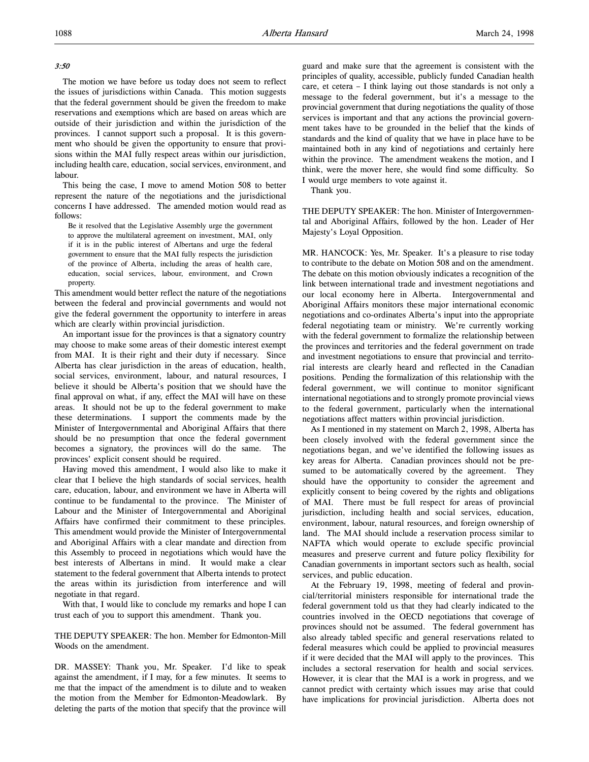## 3:50

The motion we have before us today does not seem to reflect the issues of jurisdictions within Canada. This motion suggests that the federal government should be given the freedom to make reservations and exemptions which are based on areas which are outside of their jurisdiction and within the jurisdiction of the provinces. I cannot support such a proposal. It is this government who should be given the opportunity to ensure that provisions within the MAI fully respect areas within our jurisdiction, including health care, education, social services, environment, and labour.

This being the case, I move to amend Motion 508 to better represent the nature of the negotiations and the jurisdictional concerns I have addressed. The amended motion would read as follows:

Be it resolved that the Legislative Assembly urge the government to approve the multilateral agreement on investment, MAI, only if it is in the public interest of Albertans and urge the federal government to ensure that the MAI fully respects the jurisdiction of the province of Alberta, including the areas of health care, education, social services, labour, environment, and Crown property.

This amendment would better reflect the nature of the negotiations between the federal and provincial governments and would not give the federal government the opportunity to interfere in areas which are clearly within provincial jurisdiction.

An important issue for the provinces is that a signatory country may choose to make some areas of their domestic interest exempt from MAI. It is their right and their duty if necessary. Since Alberta has clear jurisdiction in the areas of education, health, social services, environment, labour, and natural resources, I believe it should be Alberta's position that we should have the final approval on what, if any, effect the MAI will have on these areas. It should not be up to the federal government to make these determinations. I support the comments made by the Minister of Intergovernmental and Aboriginal Affairs that there should be no presumption that once the federal government becomes a signatory, the provinces will do the same. The provinces' explicit consent should be required.

Having moved this amendment, I would also like to make it clear that I believe the high standards of social services, health care, education, labour, and environment we have in Alberta will continue to be fundamental to the province. The Minister of Labour and the Minister of Intergovernmental and Aboriginal Affairs have confirmed their commitment to these principles. This amendment would provide the Minister of Intergovernmental and Aboriginal Affairs with a clear mandate and direction from this Assembly to proceed in negotiations which would have the best interests of Albertans in mind. It would make a clear statement to the federal government that Alberta intends to protect the areas within its jurisdiction from interference and will negotiate in that regard.

With that, I would like to conclude my remarks and hope I can trust each of you to support this amendment. Thank you.

THE DEPUTY SPEAKER: The hon. Member for Edmonton-Mill Woods on the amendment.

DR. MASSEY: Thank you, Mr. Speaker. I'd like to speak against the amendment, if I may, for a few minutes. It seems to me that the impact of the amendment is to dilute and to weaken the motion from the Member for Edmonton-Meadowlark. By deleting the parts of the motion that specify that the province will guard and make sure that the agreement is consistent with the principles of quality, accessible, publicly funded Canadian health care, et cetera – I think laying out those standards is not only a message to the federal government, but it's a message to the provincial government that during negotiations the quality of those services is important and that any actions the provincial government takes have to be grounded in the belief that the kinds of standards and the kind of quality that we have in place have to be maintained both in any kind of negotiations and certainly here within the province. The amendment weakens the motion, and I think, were the mover here, she would find some difficulty. So I would urge members to vote against it.

Thank you.

THE DEPUTY SPEAKER: The hon. Minister of Intergovernmental and Aboriginal Affairs, followed by the hon. Leader of Her Majesty's Loyal Opposition.

MR. HANCOCK: Yes, Mr. Speaker. It's a pleasure to rise today to contribute to the debate on Motion 508 and on the amendment. The debate on this motion obviously indicates a recognition of the link between international trade and investment negotiations and our local economy here in Alberta. Intergovernmental and Aboriginal Affairs monitors these major international economic negotiations and co-ordinates Alberta's input into the appropriate federal negotiating team or ministry. We're currently working with the federal government to formalize the relationship between the provinces and territories and the federal government on trade and investment negotiations to ensure that provincial and territorial interests are clearly heard and reflected in the Canadian positions. Pending the formalization of this relationship with the federal government, we will continue to monitor significant international negotiations and to strongly promote provincial views to the federal government, particularly when the international negotiations affect matters within provincial jurisdiction.

As I mentioned in my statement on March 2, 1998, Alberta has been closely involved with the federal government since the negotiations began, and we've identified the following issues as key areas for Alberta. Canadian provinces should not be presumed to be automatically covered by the agreement. They should have the opportunity to consider the agreement and explicitly consent to being covered by the rights and obligations of MAI. There must be full respect for areas of provincial jurisdiction, including health and social services, education, environment, labour, natural resources, and foreign ownership of land. The MAI should include a reservation process similar to NAFTA which would operate to exclude specific provincial measures and preserve current and future policy flexibility for Canadian governments in important sectors such as health, social services, and public education.

At the February 19, 1998, meeting of federal and provincial/territorial ministers responsible for international trade the federal government told us that they had clearly indicated to the countries involved in the OECD negotiations that coverage of provinces should not be assumed. The federal government has also already tabled specific and general reservations related to federal measures which could be applied to provincial measures if it were decided that the MAI will apply to the provinces. This includes a sectoral reservation for health and social services. However, it is clear that the MAI is a work in progress, and we cannot predict with certainty which issues may arise that could have implications for provincial jurisdiction. Alberta does not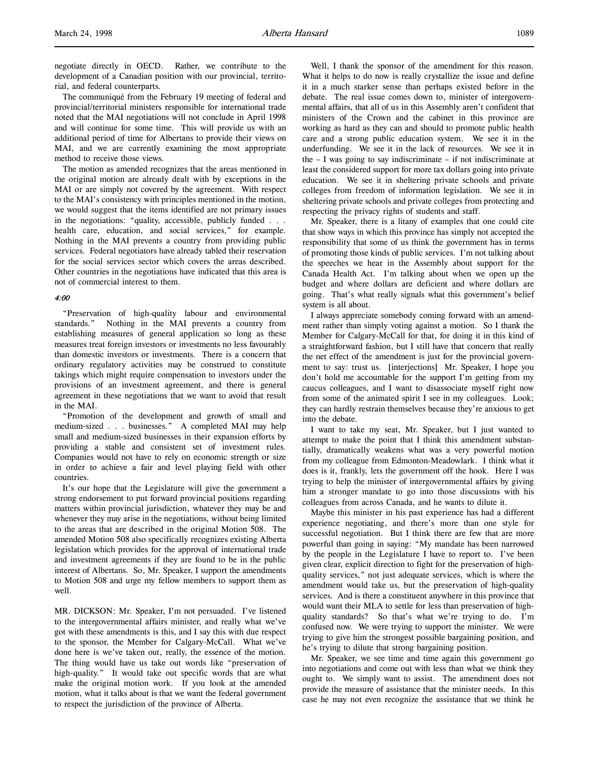negotiate directly in OECD. Rather, we contribute to the development of a Canadian position with our provincial, territorial, and federal counterparts.

The communiqué from the February 19 meeting of federal and provincial/territorial ministers responsible for international trade noted that the MAI negotiations will not conclude in April 1998 and will continue for some time. This will provide us with an additional period of time for Albertans to provide their views on MAI, and we are currently examining the most appropriate method to receive those views.

The motion as amended recognizes that the areas mentioned in the original motion are already dealt with by exceptions in the MAI or are simply not covered by the agreement. With respect to the MAI's consistency with principles mentioned in the motion, we would suggest that the items identified are not primary issues in the negotiations: "quality, accessible, publicly funded . . . health care, education, and social services," for example. Nothing in the MAI prevents a country from providing public services. Federal negotiators have already tabled their reservation for the social services sector which covers the areas described. Other countries in the negotiations have indicated that this area is not of commercial interest to them.

## $4·00$

"Preservation of high-quality labour and environmental standards." Nothing in the MAI prevents a country from establishing measures of general application so long as these measures treat foreign investors or investments no less favourably than domestic investors or investments. There is a concern that ordinary regulatory activities may be construed to constitute takings which might require compensation to investors under the provisions of an investment agreement, and there is general agreement in these negotiations that we want to avoid that result in the MAI.

"Promotion of the development and growth of small and medium-sized . . . businesses." A completed MAI may help small and medium-sized businesses in their expansion efforts by providing a stable and consistent set of investment rules. Companies would not have to rely on economic strength or size in order to achieve a fair and level playing field with other countries.

It's our hope that the Legislature will give the government a strong endorsement to put forward provincial positions regarding matters within provincial jurisdiction, whatever they may be and whenever they may arise in the negotiations, without being limited to the areas that are described in the original Motion 508. The amended Motion 508 also specifically recognizes existing Alberta legislation which provides for the approval of international trade and investment agreements if they are found to be in the public interest of Albertans. So, Mr. Speaker, I support the amendments to Motion 508 and urge my fellow members to support them as well.

MR. DICKSON: Mr. Speaker, I'm not persuaded. I've listened to the intergovernmental affairs minister, and really what we've got with these amendments is this, and I say this with due respect to the sponsor, the Member for Calgary-McCall. What we've done here is we've taken out, really, the essence of the motion. The thing would have us take out words like "preservation of high-quality." It would take out specific words that are what make the original motion work. If you look at the amended motion, what it talks about is that we want the federal government to respect the jurisdiction of the province of Alberta.

Well, I thank the sponsor of the amendment for this reason. What it helps to do now is really crystallize the issue and define it in a much starker sense than perhaps existed before in the debate. The real issue comes down to, minister of intergovernmental affairs, that all of us in this Assembly aren't confident that ministers of the Crown and the cabinet in this province are working as hard as they can and should to promote public health care and a strong public education system. We see it in the underfunding. We see it in the lack of resources. We see it in the – I was going to say indiscriminate – if not indiscriminate at least the considered support for more tax dollars going into private education. We see it in sheltering private schools and private colleges from freedom of information legislation. We see it in sheltering private schools and private colleges from protecting and respecting the privacy rights of students and staff.

Mr. Speaker, there is a litany of examples that one could cite that show ways in which this province has simply not accepted the responsibility that some of us think the government has in terms of promoting those kinds of public services. I'm not talking about the speeches we hear in the Assembly about support for the Canada Health Act. I'm talking about when we open up the budget and where dollars are deficient and where dollars are going. That's what really signals what this government's belief system is all about.

I always appreciate somebody coming forward with an amendment rather than simply voting against a motion. So I thank the Member for Calgary-McCall for that, for doing it in this kind of a straightforward fashion, but I still have that concern that really the net effect of the amendment is just for the provincial government to say: trust us. [interjections] Mr. Speaker, I hope you don't hold me accountable for the support I'm getting from my caucus colleagues, and I want to disassociate myself right now from some of the animated spirit I see in my colleagues. Look; they can hardly restrain themselves because they're anxious to get into the debate.

I want to take my seat, Mr. Speaker, but I just wanted to attempt to make the point that I think this amendment substantially, dramatically weakens what was a very powerful motion from my colleague from Edmonton-Meadowlark. I think what it does is it, frankly, lets the government off the hook. Here I was trying to help the minister of intergovernmental affairs by giving him a stronger mandate to go into those discussions with his colleagues from across Canada, and he wants to dilute it.

Maybe this minister in his past experience has had a different experience negotiating, and there's more than one style for successful negotiation. But I think there are few that are more powerful than going in saying: "My mandate has been narrowed by the people in the Legislature I have to report to. I've been given clear, explicit direction to fight for the preservation of highquality services," not just adequate services, which is where the amendment would take us, but the preservation of high-quality services. And is there a constituent anywhere in this province that would want their MLA to settle for less than preservation of highquality standards? So that's what we're trying to do. I'm confused now. We were trying to support the minister. We were trying to give him the strongest possible bargaining position, and he's trying to dilute that strong bargaining position.

Mr. Speaker, we see time and time again this government go into negotiations and come out with less than what we think they ought to. We simply want to assist. The amendment does not provide the measure of assistance that the minister needs. In this case he may not even recognize the assistance that we think he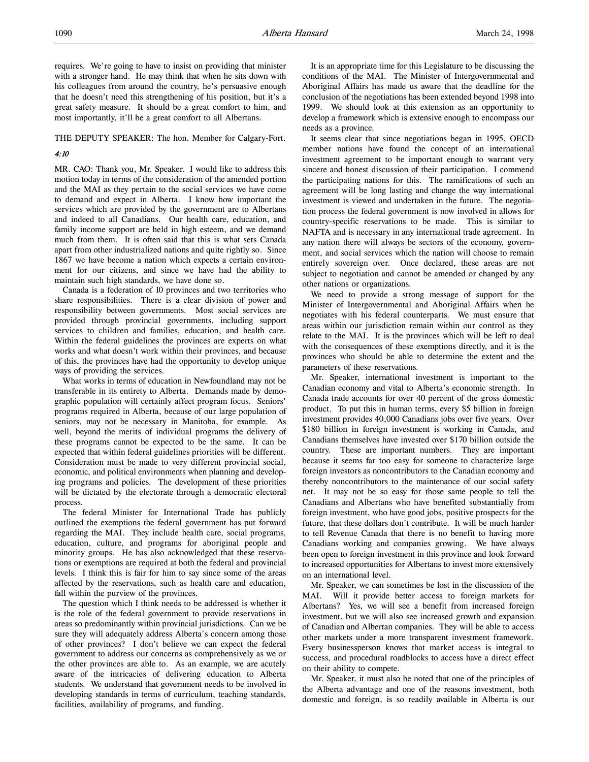requires. We're going to have to insist on providing that minister with a stronger hand. He may think that when he sits down with his colleagues from around the country, he's persuasive enough that he doesn't need this strengthening of his position, but it's a great safety measure. It should be a great comfort to him, and most importantly, it'll be a great comfort to all Albertans.

#### THE DEPUTY SPEAKER: The hon. Member for Calgary-Fort.

#### 4:10

MR. CAO: Thank you, Mr. Speaker. I would like to address this motion today in terms of the consideration of the amended portion and the MAI as they pertain to the social services we have come to demand and expect in Alberta. I know how important the services which are provided by the government are to Albertans and indeed to all Canadians. Our health care, education, and family income support are held in high esteem, and we demand much from them. It is often said that this is what sets Canada apart from other industrialized nations and quite rightly so. Since 1867 we have become a nation which expects a certain environment for our citizens, and since we have had the ability to maintain such high standards, we have done so.

Canada is a federation of 10 provinces and two territories who share responsibilities. There is a clear division of power and responsibility between governments. Most social services are provided through provincial governments, including support services to children and families, education, and health care. Within the federal guidelines the provinces are experts on what works and what doesn't work within their provinces, and because of this, the provinces have had the opportunity to develop unique ways of providing the services.

What works in terms of education in Newfoundland may not be transferable in its entirety to Alberta. Demands made by demographic population will certainly affect program focus. Seniors' programs required in Alberta, because of our large population of seniors, may not be necessary in Manitoba, for example. As well, beyond the merits of individual programs the delivery of these programs cannot be expected to be the same. It can be expected that within federal guidelines priorities will be different. Consideration must be made to very different provincial social, economic, and political environments when planning and developing programs and policies. The development of these priorities will be dictated by the electorate through a democratic electoral process.

The federal Minister for International Trade has publicly outlined the exemptions the federal government has put forward regarding the MAI. They include health care, social programs, education, culture, and programs for aboriginal people and minority groups. He has also acknowledged that these reservations or exemptions are required at both the federal and provincial levels. I think this is fair for him to say since some of the areas affected by the reservations, such as health care and education, fall within the purview of the provinces.

The question which I think needs to be addressed is whether it is the role of the federal government to provide reservations in areas so predominantly within provincial jurisdictions. Can we be sure they will adequately address Alberta's concern among those of other provinces? I don't believe we can expect the federal government to address our concerns as comprehensively as we or the other provinces are able to. As an example, we are acutely aware of the intricacies of delivering education to Alberta students. We understand that government needs to be involved in developing standards in terms of curriculum, teaching standards, facilities, availability of programs, and funding.

It is an appropriate time for this Legislature to be discussing the conditions of the MAI. The Minister of Intergovernmental and Aboriginal Affairs has made us aware that the deadline for the conclusion of the negotiations has been extended beyond 1998 into 1999. We should look at this extension as an opportunity to develop a framework which is extensive enough to encompass our needs as a province.

It seems clear that since negotiations began in 1995, OECD member nations have found the concept of an international investment agreement to be important enough to warrant very sincere and honest discussion of their participation. I commend the participating nations for this. The ramifications of such an agreement will be long lasting and change the way international investment is viewed and undertaken in the future. The negotiation process the federal government is now involved in allows for country-specific reservations to be made. This is similar to NAFTA and is necessary in any international trade agreement. In any nation there will always be sectors of the economy, government, and social services which the nation will choose to remain entirely sovereign over. Once declared, these areas are not subject to negotiation and cannot be amended or changed by any other nations or organizations.

We need to provide a strong message of support for the Minister of Intergovernmental and Aboriginal Affairs when he negotiates with his federal counterparts. We must ensure that areas within our jurisdiction remain within our control as they relate to the MAI. It is the provinces which will be left to deal with the consequences of these exemptions directly, and it is the provinces who should be able to determine the extent and the parameters of these reservations.

Mr. Speaker, international investment is important to the Canadian economy and vital to Alberta's economic strength. In Canada trade accounts for over 40 percent of the gross domestic product. To put this in human terms, every \$5 billion in foreign investment provides 40,000 Canadians jobs over five years. Over \$180 billion in foreign investment is working in Canada, and Canadians themselves have invested over \$170 billion outside the country. These are important numbers. They are important because it seems far too easy for someone to characterize large foreign investors as noncontributors to the Canadian economy and thereby noncontributors to the maintenance of our social safety net. It may not be so easy for those same people to tell the Canadians and Albertans who have benefited substantially from foreign investment, who have good jobs, positive prospects for the future, that these dollars don't contribute. It will be much harder to tell Revenue Canada that there is no benefit to having more Canadians working and companies growing. We have always been open to foreign investment in this province and look forward to increased opportunities for Albertans to invest more extensively on an international level.

Mr. Speaker, we can sometimes be lost in the discussion of the MAI. Will it provide better access to foreign markets for Albertans? Yes, we will see a benefit from increased foreign investment, but we will also see increased growth and expansion of Canadian and Albertan companies. They will be able to access other markets under a more transparent investment framework. Every businessperson knows that market access is integral to success, and procedural roadblocks to access have a direct effect on their ability to compete.

Mr. Speaker, it must also be noted that one of the principles of the Alberta advantage and one of the reasons investment, both domestic and foreign, is so readily available in Alberta is our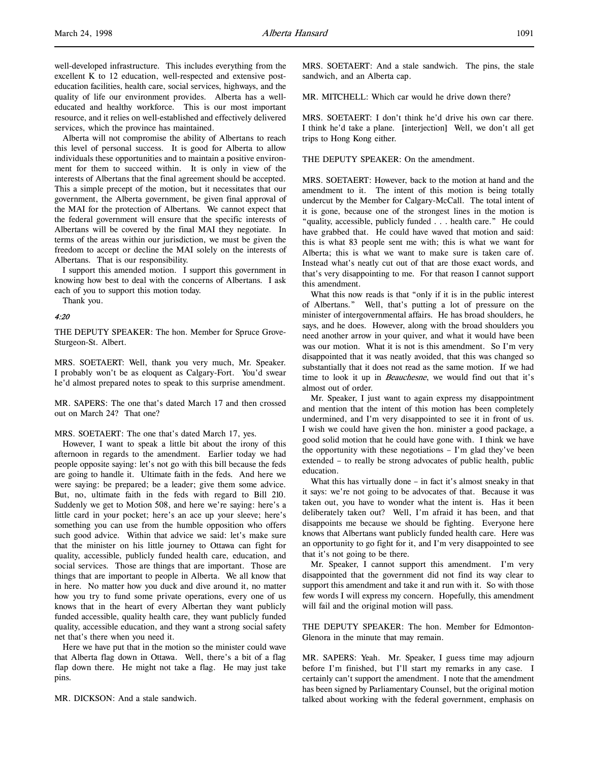Alberta will not compromise the ability of Albertans to reach this level of personal success. It is good for Alberta to allow individuals these opportunities and to maintain a positive environment for them to succeed within. It is only in view of the interests of Albertans that the final agreement should be accepted. This a simple precept of the motion, but it necessitates that our government, the Alberta government, be given final approval of the MAI for the protection of Albertans. We cannot expect that the federal government will ensure that the specific interests of Albertans will be covered by the final MAI they negotiate. In terms of the areas within our jurisdiction, we must be given the freedom to accept or decline the MAI solely on the interests of Albertans. That is our responsibility.

I support this amended motion. I support this government in knowing how best to deal with the concerns of Albertans. I ask each of you to support this motion today.

Thank you.

## 4:20

THE DEPUTY SPEAKER: The hon. Member for Spruce Grove-Sturgeon-St. Albert.

MRS. SOETAERT: Well, thank you very much, Mr. Speaker. I probably won't be as eloquent as Calgary-Fort. You'd swear he'd almost prepared notes to speak to this surprise amendment.

MR. SAPERS: The one that's dated March 17 and then crossed out on March 24? That one?

#### MRS. SOETAERT: The one that's dated March 17, yes.

However, I want to speak a little bit about the irony of this afternoon in regards to the amendment. Earlier today we had people opposite saying: let's not go with this bill because the feds are going to handle it. Ultimate faith in the feds. And here we were saying: be prepared; be a leader; give them some advice. But, no, ultimate faith in the feds with regard to Bill 210. Suddenly we get to Motion 508, and here we're saying: here's a little card in your pocket; here's an ace up your sleeve; here's something you can use from the humble opposition who offers such good advice. Within that advice we said: let's make sure that the minister on his little journey to Ottawa can fight for quality, accessible, publicly funded health care, education, and social services. Those are things that are important. Those are things that are important to people in Alberta. We all know that in here. No matter how you duck and dive around it, no matter how you try to fund some private operations, every one of us knows that in the heart of every Albertan they want publicly funded accessible, quality health care, they want publicly funded quality, accessible education, and they want a strong social safety net that's there when you need it.

Here we have put that in the motion so the minister could wave that Alberta flag down in Ottawa. Well, there's a bit of a flag flap down there. He might not take a flag. He may just take pins.

MR. DICKSON: And a stale sandwich.

MRS. SOETAERT: And a stale sandwich. The pins, the stale sandwich, and an Alberta cap.

MR. MITCHELL: Which car would he drive down there?

MRS. SOETAERT: I don't think he'd drive his own car there. I think he'd take a plane. [interjection] Well, we don't all get trips to Hong Kong either.

THE DEPUTY SPEAKER: On the amendment.

MRS. SOETAERT: However, back to the motion at hand and the amendment to it. The intent of this motion is being totally undercut by the Member for Calgary-McCall. The total intent of it is gone, because one of the strongest lines in the motion is "quality, accessible, publicly funded . . . health care." He could have grabbed that. He could have waved that motion and said: this is what 83 people sent me with; this is what we want for Alberta; this is what we want to make sure is taken care of. Instead what's neatly cut out of that are those exact words, and that's very disappointing to me. For that reason I cannot support this amendment.

What this now reads is that "only if it is in the public interest of Albertans." Well, that's putting a lot of pressure on the minister of intergovernmental affairs. He has broad shoulders, he says, and he does. However, along with the broad shoulders you need another arrow in your quiver, and what it would have been was our motion. What it is not is this amendment. So I'm very disappointed that it was neatly avoided, that this was changed so substantially that it does not read as the same motion. If we had time to look it up in *Beauchesne*, we would find out that it's almost out of order.

Mr. Speaker, I just want to again express my disappointment and mention that the intent of this motion has been completely undermined, and I'm very disappointed to see it in front of us. I wish we could have given the hon. minister a good package, a good solid motion that he could have gone with. I think we have the opportunity with these negotiations – I'm glad they've been extended – to really be strong advocates of public health, public education.

What this has virtually done – in fact it's almost sneaky in that it says: we're not going to be advocates of that. Because it was taken out, you have to wonder what the intent is. Has it been deliberately taken out? Well, I'm afraid it has been, and that disappoints me because we should be fighting. Everyone here knows that Albertans want publicly funded health care. Here was an opportunity to go fight for it, and I'm very disappointed to see that it's not going to be there.

Mr. Speaker, I cannot support this amendment. I'm very disappointed that the government did not find its way clear to support this amendment and take it and run with it. So with those few words I will express my concern. Hopefully, this amendment will fail and the original motion will pass.

THE DEPUTY SPEAKER: The hon. Member for Edmonton-Glenora in the minute that may remain.

MR. SAPERS: Yeah. Mr. Speaker, I guess time may adjourn before I'm finished, but I'll start my remarks in any case. I certainly can't support the amendment. I note that the amendment has been signed by Parliamentary Counsel, but the original motion talked about working with the federal government, emphasis on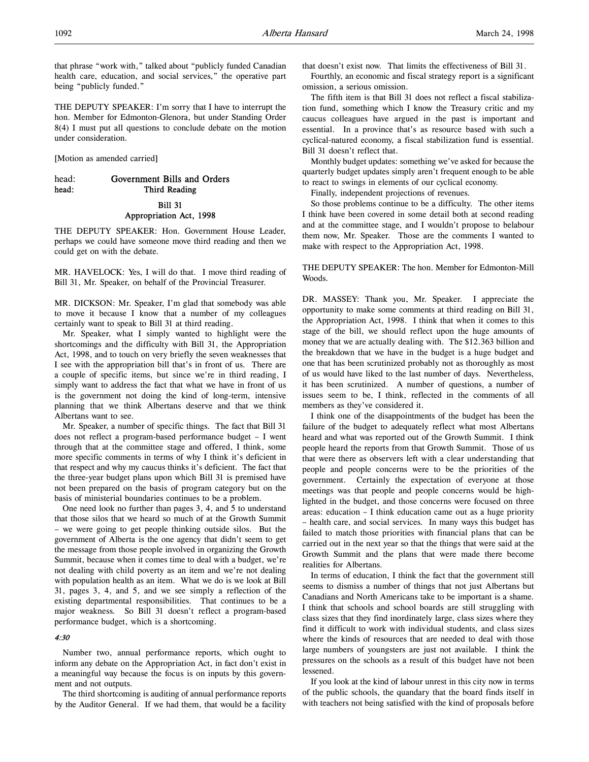that phrase "work with," talked about "publicly funded Canadian health care, education, and social services," the operative part being "publicly funded."

THE DEPUTY SPEAKER: I'm sorry that I have to interrupt the hon. Member for Edmonton-Glenora, but under Standing Order 8(4) I must put all questions to conclude debate on the motion under consideration.

[Motion as amended carried]

# head: Government Bills and Orders head: Third Reading Bill 31

# Appropriation Act, 1998

THE DEPUTY SPEAKER: Hon. Government House Leader, perhaps we could have someone move third reading and then we could get on with the debate.

MR. HAVELOCK: Yes, I will do that. I move third reading of Bill 31, Mr. Speaker, on behalf of the Provincial Treasurer.

MR. DICKSON: Mr. Speaker, I'm glad that somebody was able to move it because I know that a number of my colleagues certainly want to speak to Bill 31 at third reading.

Mr. Speaker, what I simply wanted to highlight were the shortcomings and the difficulty with Bill 31, the Appropriation Act, 1998, and to touch on very briefly the seven weaknesses that I see with the appropriation bill that's in front of us. There are a couple of specific items, but since we're in third reading, I simply want to address the fact that what we have in front of us is the government not doing the kind of long-term, intensive planning that we think Albertans deserve and that we think Albertans want to see.

Mr. Speaker, a number of specific things. The fact that Bill 31 does not reflect a program-based performance budget – I went through that at the committee stage and offered, I think, some more specific comments in terms of why I think it's deficient in that respect and why my caucus thinks it's deficient. The fact that the three-year budget plans upon which Bill 31 is premised have not been prepared on the basis of program category but on the basis of ministerial boundaries continues to be a problem.

One need look no further than pages 3, 4, and 5 to understand that those silos that we heard so much of at the Growth Summit – we were going to get people thinking outside silos. But the government of Alberta is the one agency that didn't seem to get the message from those people involved in organizing the Growth Summit, because when it comes time to deal with a budget, we're not dealing with child poverty as an item and we're not dealing with population health as an item. What we do is we look at Bill 31, pages 3, 4, and 5, and we see simply a reflection of the existing departmental responsibilities. That continues to be a major weakness. So Bill 31 doesn't reflect a program-based performance budget, which is a shortcoming.

#### 4:30

Number two, annual performance reports, which ought to inform any debate on the Appropriation Act, in fact don't exist in a meaningful way because the focus is on inputs by this government and not outputs.

The third shortcoming is auditing of annual performance reports by the Auditor General. If we had them, that would be a facility that doesn't exist now. That limits the effectiveness of Bill 31. Fourthly, an economic and fiscal strategy report is a significant omission, a serious omission.

The fifth item is that Bill 31 does not reflect a fiscal stabilization fund, something which I know the Treasury critic and my caucus colleagues have argued in the past is important and essential. In a province that's as resource based with such a cyclical-natured economy, a fiscal stabilization fund is essential. Bill 31 doesn't reflect that.

Monthly budget updates: something we've asked for because the quarterly budget updates simply aren't frequent enough to be able to react to swings in elements of our cyclical economy.

Finally, independent projections of revenues.

So those problems continue to be a difficulty. The other items I think have been covered in some detail both at second reading and at the committee stage, and I wouldn't propose to belabour them now, Mr. Speaker. Those are the comments I wanted to make with respect to the Appropriation Act, 1998.

THE DEPUTY SPEAKER: The hon. Member for Edmonton-Mill Woods.

DR. MASSEY: Thank you, Mr. Speaker. I appreciate the opportunity to make some comments at third reading on Bill 31, the Appropriation Act, 1998. I think that when it comes to this stage of the bill, we should reflect upon the huge amounts of money that we are actually dealing with. The \$12.363 billion and the breakdown that we have in the budget is a huge budget and one that has been scrutinized probably not as thoroughly as most of us would have liked to the last number of days. Nevertheless, it has been scrutinized. A number of questions, a number of issues seem to be, I think, reflected in the comments of all members as they've considered it.

I think one of the disappointments of the budget has been the failure of the budget to adequately reflect what most Albertans heard and what was reported out of the Growth Summit. I think people heard the reports from that Growth Summit. Those of us that were there as observers left with a clear understanding that people and people concerns were to be the priorities of the government. Certainly the expectation of everyone at those meetings was that people and people concerns would be highlighted in the budget, and those concerns were focused on three areas: education – I think education came out as a huge priority – health care, and social services. In many ways this budget has failed to match those priorities with financial plans that can be carried out in the next year so that the things that were said at the Growth Summit and the plans that were made there become realities for Albertans.

In terms of education, I think the fact that the government still seems to dismiss a number of things that not just Albertans but Canadians and North Americans take to be important is a shame. I think that schools and school boards are still struggling with class sizes that they find inordinately large, class sizes where they find it difficult to work with individual students, and class sizes where the kinds of resources that are needed to deal with those large numbers of youngsters are just not available. I think the pressures on the schools as a result of this budget have not been lessened.

If you look at the kind of labour unrest in this city now in terms of the public schools, the quandary that the board finds itself in with teachers not being satisfied with the kind of proposals before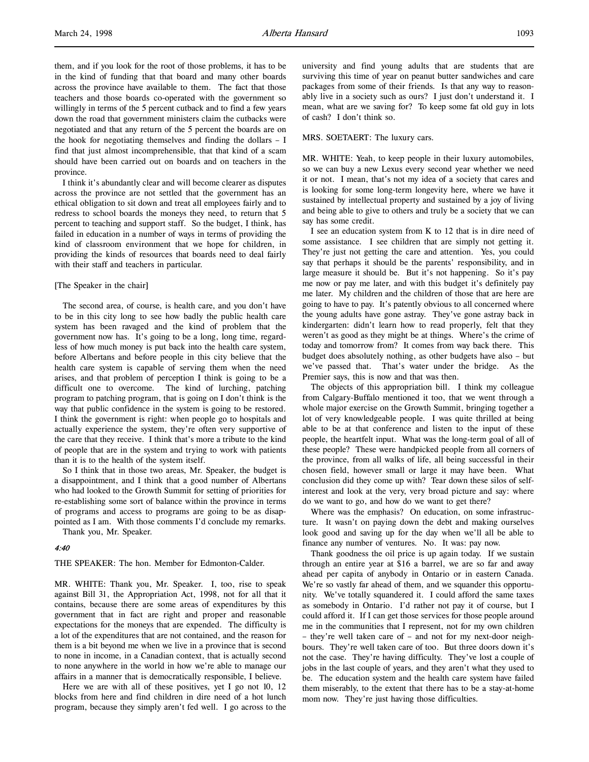them, and if you look for the root of those problems, it has to be in the kind of funding that that board and many other boards across the province have available to them. The fact that those teachers and those boards co-operated with the government so willingly in terms of the 5 percent cutback and to find a few years down the road that government ministers claim the cutbacks were negotiated and that any return of the 5 percent the boards are on the hook for negotiating themselves and finding the dollars – I find that just almost incomprehensible, that that kind of a scam should have been carried out on boards and on teachers in the province.

I think it's abundantly clear and will become clearer as disputes across the province are not settled that the government has an ethical obligation to sit down and treat all employees fairly and to redress to school boards the moneys they need, to return that 5 percent to teaching and support staff. So the budget, I think, has failed in education in a number of ways in terms of providing the kind of classroom environment that we hope for children, in providing the kinds of resources that boards need to deal fairly with their staff and teachers in particular.

#### [The Speaker in the chair]

The second area, of course, is health care, and you don't have to be in this city long to see how badly the public health care system has been ravaged and the kind of problem that the government now has. It's going to be a long, long time, regardless of how much money is put back into the health care system, before Albertans and before people in this city believe that the health care system is capable of serving them when the need arises, and that problem of perception I think is going to be a difficult one to overcome. The kind of lurching, patching program to patching program, that is going on I don't think is the way that public confidence in the system is going to be restored. I think the government is right: when people go to hospitals and actually experience the system, they're often very supportive of the care that they receive. I think that's more a tribute to the kind of people that are in the system and trying to work with patients than it is to the health of the system itself.

So I think that in those two areas, Mr. Speaker, the budget is a disappointment, and I think that a good number of Albertans who had looked to the Growth Summit for setting of priorities for re-establishing some sort of balance within the province in terms of programs and access to programs are going to be as disappointed as I am. With those comments I'd conclude my remarks.

Thank you, Mr. Speaker.

## 4:40

THE SPEAKER: The hon. Member for Edmonton-Calder.

MR. WHITE: Thank you, Mr. Speaker. I, too, rise to speak against Bill 31, the Appropriation Act, 1998, not for all that it contains, because there are some areas of expenditures by this government that in fact are right and proper and reasonable expectations for the moneys that are expended. The difficulty is a lot of the expenditures that are not contained, and the reason for them is a bit beyond me when we live in a province that is second to none in income, in a Canadian context, that is actually second to none anywhere in the world in how we're able to manage our affairs in a manner that is democratically responsible, I believe.

Here we are with all of these positives, yet I go not 10, 12 blocks from here and find children in dire need of a hot lunch program, because they simply aren't fed well. I go across to the

university and find young adults that are students that are surviving this time of year on peanut butter sandwiches and care packages from some of their friends. Is that any way to reasonably live in a society such as ours? I just don't understand it. I mean, what are we saving for? To keep some fat old guy in lots of cash? I don't think so.

## MRS. SOETAERT: The luxury cars.

MR. WHITE: Yeah, to keep people in their luxury automobiles, so we can buy a new Lexus every second year whether we need it or not. I mean, that's not my idea of a society that cares and is looking for some long-term longevity here, where we have it sustained by intellectual property and sustained by a joy of living and being able to give to others and truly be a society that we can say has some credit.

I see an education system from K to 12 that is in dire need of some assistance. I see children that are simply not getting it. They're just not getting the care and attention. Yes, you could say that perhaps it should be the parents' responsibility, and in large measure it should be. But it's not happening. So it's pay me now or pay me later, and with this budget it's definitely pay me later. My children and the children of those that are here are going to have to pay. It's patently obvious to all concerned where the young adults have gone astray. They've gone astray back in kindergarten: didn't learn how to read properly, felt that they weren't as good as they might be at things. Where's the crime of today and tomorrow from? It comes from way back there. This budget does absolutely nothing, as other budgets have also – but we've passed that. That's water under the bridge. As the Premier says, this is now and that was then.

The objects of this appropriation bill. I think my colleague from Calgary-Buffalo mentioned it too, that we went through a whole major exercise on the Growth Summit, bringing together a lot of very knowledgeable people. I was quite thrilled at being able to be at that conference and listen to the input of these people, the heartfelt input. What was the long-term goal of all of these people? These were handpicked people from all corners of the province, from all walks of life, all being successful in their chosen field, however small or large it may have been. What conclusion did they come up with? Tear down these silos of selfinterest and look at the very, very broad picture and say: where do we want to go, and how do we want to get there?

Where was the emphasis? On education, on some infrastructure. It wasn't on paying down the debt and making ourselves look good and saving up for the day when we'll all be able to finance any number of ventures. No. It was: pay now.

Thank goodness the oil price is up again today. If we sustain through an entire year at \$16 a barrel, we are so far and away ahead per capita of anybody in Ontario or in eastern Canada. We're so vastly far ahead of them, and we squander this opportunity. We've totally squandered it. I could afford the same taxes as somebody in Ontario. I'd rather not pay it of course, but I could afford it. If I can get those services for those people around me in the communities that I represent, not for my own children – they're well taken care of – and not for my next-door neighbours. They're well taken care of too. But three doors down it's not the case. They're having difficulty. They've lost a couple of jobs in the last couple of years, and they aren't what they used to be. The education system and the health care system have failed them miserably, to the extent that there has to be a stay-at-home mom now. They're just having those difficulties.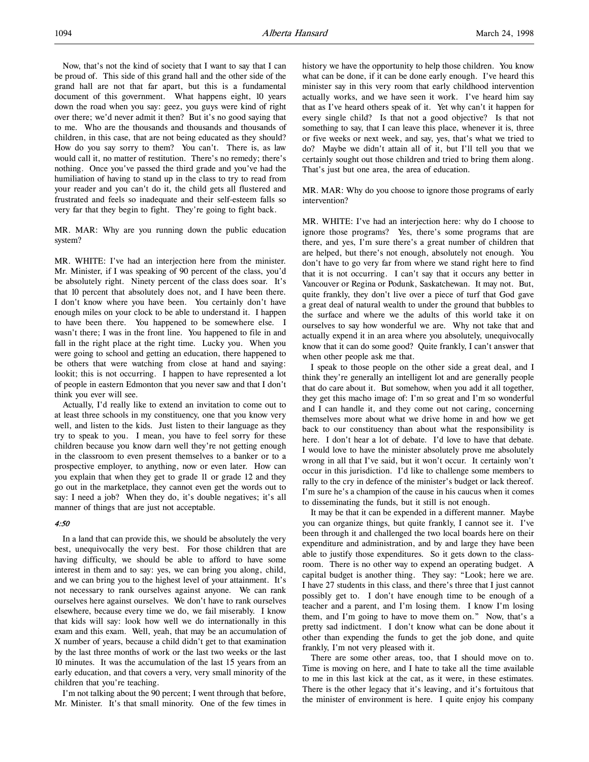Now, that's not the kind of society that I want to say that I can be proud of. This side of this grand hall and the other side of the grand hall are not that far apart, but this is a fundamental document of this government. What happens eight, 10 years down the road when you say: geez, you guys were kind of right over there; we'd never admit it then? But it's no good saying that to me. Who are the thousands and thousands and thousands of children, in this case, that are not being educated as they should? How do you say sorry to them? You can't. There is, as law would call it, no matter of restitution. There's no remedy; there's nothing. Once you've passed the third grade and you've had the humiliation of having to stand up in the class to try to read from your reader and you can't do it, the child gets all flustered and frustrated and feels so inadequate and their self-esteem falls so very far that they begin to fight. They're going to fight back.

MR. MAR: Why are you running down the public education system?

MR. WHITE: I've had an interjection here from the minister. Mr. Minister, if I was speaking of 90 percent of the class, you'd be absolutely right. Ninety percent of the class does soar. It's that 10 percent that absolutely does not, and I have been there. I don't know where you have been. You certainly don't have enough miles on your clock to be able to understand it. I happen to have been there. You happened to be somewhere else. I wasn't there; I was in the front line. You happened to file in and fall in the right place at the right time. Lucky you. When you were going to school and getting an education, there happened to be others that were watching from close at hand and saying: lookit; this is not occurring. I happen to have represented a lot of people in eastern Edmonton that you never saw and that I don't think you ever will see.

Actually, I'd really like to extend an invitation to come out to at least three schools in my constituency, one that you know very well, and listen to the kids. Just listen to their language as they try to speak to you. I mean, you have to feel sorry for these children because you know darn well they're not getting enough in the classroom to even present themselves to a banker or to a prospective employer, to anything, now or even later. How can you explain that when they get to grade 11 or grade 12 and they go out in the marketplace, they cannot even get the words out to say: I need a job? When they do, it's double negatives; it's all manner of things that are just not acceptable.

## 4:50

In a land that can provide this, we should be absolutely the very best, unequivocally the very best. For those children that are having difficulty, we should be able to afford to have some interest in them and to say: yes, we can bring you along, child, and we can bring you to the highest level of your attainment. It's not necessary to rank ourselves against anyone. We can rank ourselves here against ourselves. We don't have to rank ourselves elsewhere, because every time we do, we fail miserably. I know that kids will say: look how well we do internationally in this exam and this exam. Well, yeah, that may be an accumulation of X number of years, because a child didn't get to that examination by the last three months of work or the last two weeks or the last 10 minutes. It was the accumulation of the last 15 years from an early education, and that covers a very, very small minority of the children that you're teaching.

I'm not talking about the 90 percent; I went through that before, Mr. Minister. It's that small minority. One of the few times in

history we have the opportunity to help those children. You know what can be done, if it can be done early enough. I've heard this minister say in this very room that early childhood intervention actually works, and we have seen it work. I've heard him say that as I've heard others speak of it. Yet why can't it happen for every single child? Is that not a good objective? Is that not something to say, that I can leave this place, whenever it is, three or five weeks or next week, and say, yes, that's what we tried to do? Maybe we didn't attain all of it, but I'll tell you that we certainly sought out those children and tried to bring them along. That's just but one area, the area of education.

MR. MAR: Why do you choose to ignore those programs of early intervention?

MR. WHITE: I've had an interjection here: why do I choose to ignore those programs? Yes, there's some programs that are there, and yes, I'm sure there's a great number of children that are helped, but there's not enough, absolutely not enough. You don't have to go very far from where we stand right here to find that it is not occurring. I can't say that it occurs any better in Vancouver or Regina or Podunk, Saskatchewan. It may not. But, quite frankly, they don't live over a piece of turf that God gave a great deal of natural wealth to under the ground that bubbles to the surface and where we the adults of this world take it on ourselves to say how wonderful we are. Why not take that and actually expend it in an area where you absolutely, unequivocally know that it can do some good? Quite frankly, I can't answer that when other people ask me that.

I speak to those people on the other side a great deal, and I think they're generally an intelligent lot and are generally people that do care about it. But somehow, when you add it all together, they get this macho image of: I'm so great and I'm so wonderful and I can handle it, and they come out not caring, concerning themselves more about what we drive home in and how we get back to our constituency than about what the responsibility is here. I don't hear a lot of debate. I'd love to have that debate. I would love to have the minister absolutely prove me absolutely wrong in all that I've said, but it won't occur. It certainly won't occur in this jurisdiction. I'd like to challenge some members to rally to the cry in defence of the minister's budget or lack thereof. I'm sure he's a champion of the cause in his caucus when it comes to disseminating the funds, but it still is not enough.

It may be that it can be expended in a different manner. Maybe you can organize things, but quite frankly, I cannot see it. I've been through it and challenged the two local boards here on their expenditure and administration, and by and large they have been able to justify those expenditures. So it gets down to the classroom. There is no other way to expend an operating budget. A capital budget is another thing. They say: "Look; here we are. I have 27 students in this class, and there's three that I just cannot possibly get to. I don't have enough time to be enough of a teacher and a parent, and I'm losing them. I know I'm losing them, and I'm going to have to move them on." Now, that's a pretty sad indictment. I don't know what can be done about it other than expending the funds to get the job done, and quite frankly, I'm not very pleased with it.

There are some other areas, too, that I should move on to. Time is moving on here, and I hate to take all the time available to me in this last kick at the cat, as it were, in these estimates. There is the other legacy that it's leaving, and it's fortuitous that the minister of environment is here. I quite enjoy his company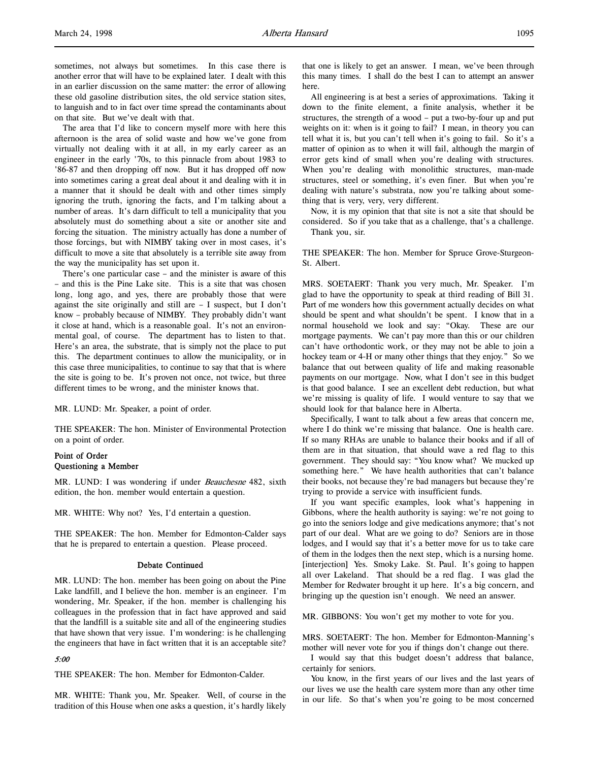sometimes, not always but sometimes. In this case there is another error that will have to be explained later. I dealt with this in an earlier discussion on the same matter: the error of allowing these old gasoline distribution sites, the old service station sites, to languish and to in fact over time spread the contaminants about on that site. But we've dealt with that.

The area that I'd like to concern myself more with here this afternoon is the area of solid waste and how we've gone from virtually not dealing with it at all, in my early career as an engineer in the early '70s, to this pinnacle from about 1983 to '86-87 and then dropping off now. But it has dropped off now into sometimes caring a great deal about it and dealing with it in a manner that it should be dealt with and other times simply ignoring the truth, ignoring the facts, and I'm talking about a number of areas. It's darn difficult to tell a municipality that you absolutely must do something about a site or another site and forcing the situation. The ministry actually has done a number of those forcings, but with NIMBY taking over in most cases, it's difficult to move a site that absolutely is a terrible site away from the way the municipality has set upon it.

There's one particular case – and the minister is aware of this – and this is the Pine Lake site. This is a site that was chosen long, long ago, and yes, there are probably those that were against the site originally and still are – I suspect, but I don't know – probably because of NIMBY. They probably didn't want it close at hand, which is a reasonable goal. It's not an environmental goal, of course. The department has to listen to that. Here's an area, the substrate, that is simply not the place to put this. The department continues to allow the municipality, or in this case three municipalities, to continue to say that that is where the site is going to be. It's proven not once, not twice, but three different times to be wrong, and the minister knows that.

MR. LUND: Mr. Speaker, a point of order.

THE SPEAKER: The hon. Minister of Environmental Protection on a point of order.

## Point of Order Questioning a Member

MR. LUND: I was wondering if under Beauchesne 482, sixth edition, the hon. member would entertain a question.

MR. WHITE: Why not? Yes, I'd entertain a question.

THE SPEAKER: The hon. Member for Edmonton-Calder says that he is prepared to entertain a question. Please proceed.

#### Debate Continued

MR. LUND: The hon. member has been going on about the Pine Lake landfill, and I believe the hon. member is an engineer. I'm wondering, Mr. Speaker, if the hon. member is challenging his colleagues in the profession that in fact have approved and said that the landfill is a suitable site and all of the engineering studies that have shown that very issue. I'm wondering: is he challenging the engineers that have in fact written that it is an acceptable site?

## 5:00

THE SPEAKER: The hon. Member for Edmonton-Calder.

MR. WHITE: Thank you, Mr. Speaker. Well, of course in the tradition of this House when one asks a question, it's hardly likely

that one is likely to get an answer. I mean, we've been through this many times. I shall do the best I can to attempt an answer here.

All engineering is at best a series of approximations. Taking it down to the finite element, a finite analysis, whether it be structures, the strength of a wood – put a two-by-four up and put weights on it: when is it going to fail? I mean, in theory you can tell what it is, but you can't tell when it's going to fail. So it's a matter of opinion as to when it will fail, although the margin of error gets kind of small when you're dealing with structures. When you're dealing with monolithic structures, man-made structures, steel or something, it's even finer. But when you're dealing with nature's substrata, now you're talking about something that is very, very, very different.

Now, it is my opinion that that site is not a site that should be considered. So if you take that as a challenge, that's a challenge. Thank you, sir.

THE SPEAKER: The hon. Member for Spruce Grove-Sturgeon-St. Albert.

MRS. SOETAERT: Thank you very much, Mr. Speaker. I'm glad to have the opportunity to speak at third reading of Bill 31. Part of me wonders how this government actually decides on what should be spent and what shouldn't be spent. I know that in a normal household we look and say: "Okay. These are our mortgage payments. We can't pay more than this or our children can't have orthodontic work, or they may not be able to join a hockey team or 4-H or many other things that they enjoy." So we balance that out between quality of life and making reasonable payments on our mortgage. Now, what I don't see in this budget is that good balance. I see an excellent debt reduction, but what we're missing is quality of life. I would venture to say that we should look for that balance here in Alberta.

Specifically, I want to talk about a few areas that concern me, where I do think we're missing that balance. One is health care. If so many RHAs are unable to balance their books and if all of them are in that situation, that should wave a red flag to this government. They should say: "You know what? We mucked up something here." We have health authorities that can't balance their books, not because they're bad managers but because they're trying to provide a service with insufficient funds.

If you want specific examples, look what's happening in Gibbons, where the health authority is saying: we're not going to go into the seniors lodge and give medications anymore; that's not part of our deal. What are we going to do? Seniors are in those lodges, and I would say that it's a better move for us to take care of them in the lodges then the next step, which is a nursing home. [interjection] Yes. Smoky Lake. St. Paul. It's going to happen all over Lakeland. That should be a red flag. I was glad the Member for Redwater brought it up here. It's a big concern, and bringing up the question isn't enough. We need an answer.

MR. GIBBONS: You won't get my mother to vote for you.

MRS. SOETAERT: The hon. Member for Edmonton-Manning's mother will never vote for you if things don't change out there.

I would say that this budget doesn't address that balance, certainly for seniors.

You know, in the first years of our lives and the last years of our lives we use the health care system more than any other time in our life. So that's when you're going to be most concerned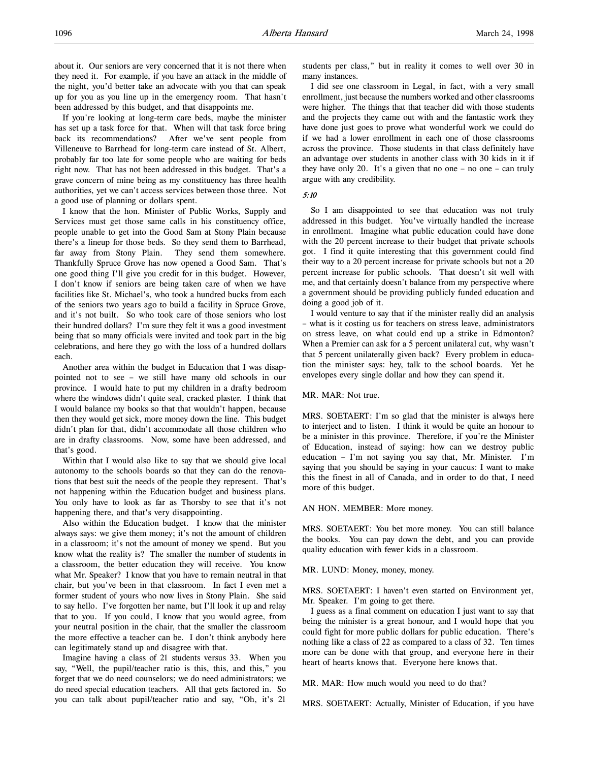about it. Our seniors are very concerned that it is not there when they need it. For example, if you have an attack in the middle of the night, you'd better take an advocate with you that can speak up for you as you line up in the emergency room. That hasn't been addressed by this budget, and that disappoints me.

If you're looking at long-term care beds, maybe the minister has set up a task force for that. When will that task force bring back its recommendations? After we've sent people from Villeneuve to Barrhead for long-term care instead of St. Albert, probably far too late for some people who are waiting for beds right now. That has not been addressed in this budget. That's a grave concern of mine being as my constituency has three health authorities, yet we can't access services between those three. Not a good use of planning or dollars spent.

I know that the hon. Minister of Public Works, Supply and Services must get those same calls in his constituency office, people unable to get into the Good Sam at Stony Plain because there's a lineup for those beds. So they send them to Barrhead, far away from Stony Plain. They send them somewhere. Thankfully Spruce Grove has now opened a Good Sam. That's one good thing I'll give you credit for in this budget. However, I don't know if seniors are being taken care of when we have facilities like St. Michael's, who took a hundred bucks from each of the seniors two years ago to build a facility in Spruce Grove, and it's not built. So who took care of those seniors who lost their hundred dollars? I'm sure they felt it was a good investment being that so many officials were invited and took part in the big celebrations, and here they go with the loss of a hundred dollars each.

Another area within the budget in Education that I was disappointed not to see – we still have many old schools in our province. I would hate to put my children in a drafty bedroom where the windows didn't quite seal, cracked plaster. I think that I would balance my books so that that wouldn't happen, because then they would get sick, more money down the line. This budget didn't plan for that, didn't accommodate all those children who are in drafty classrooms. Now, some have been addressed, and that's good.

Within that I would also like to say that we should give local autonomy to the schools boards so that they can do the renovations that best suit the needs of the people they represent. That's not happening within the Education budget and business plans. You only have to look as far as Thorsby to see that it's not happening there, and that's very disappointing.

Also within the Education budget. I know that the minister always says: we give them money; it's not the amount of children in a classroom; it's not the amount of money we spend. But you know what the reality is? The smaller the number of students in a classroom, the better education they will receive. You know what Mr. Speaker? I know that you have to remain neutral in that chair, but you've been in that classroom. In fact I even met a former student of yours who now lives in Stony Plain. She said to say hello. I've forgotten her name, but I'll look it up and relay that to you. If you could, I know that you would agree, from your neutral position in the chair, that the smaller the classroom the more effective a teacher can be. I don't think anybody here can legitimately stand up and disagree with that.

Imagine having a class of 21 students versus 33. When you say, "Well, the pupil/teacher ratio is this, this, and this," you forget that we do need counselors; we do need administrators; we do need special education teachers. All that gets factored in. So you can talk about pupil/teacher ratio and say, "Oh, it's 21

students per class," but in reality it comes to well over 30 in many instances.

I did see one classroom in Legal, in fact, with a very small enrollment, just because the numbers worked and other classrooms were higher. The things that that teacher did with those students and the projects they came out with and the fantastic work they have done just goes to prove what wonderful work we could do if we had a lower enrollment in each one of those classrooms across the province. Those students in that class definitely have an advantage over students in another class with 30 kids in it if they have only 20. It's a given that no one – no one – can truly argue with any credibility.

#### 5:10

So I am disappointed to see that education was not truly addressed in this budget. You've virtually handled the increase in enrollment. Imagine what public education could have done with the 20 percent increase to their budget that private schools got. I find it quite interesting that this government could find their way to a 20 percent increase for private schools but not a 20 percent increase for public schools. That doesn't sit well with me, and that certainly doesn't balance from my perspective where a government should be providing publicly funded education and doing a good job of it.

I would venture to say that if the minister really did an analysis – what is it costing us for teachers on stress leave, administrators on stress leave, on what could end up a strike in Edmonton? When a Premier can ask for a 5 percent unilateral cut, why wasn't that 5 percent unilaterally given back? Every problem in education the minister says: hey, talk to the school boards. Yet he envelopes every single dollar and how they can spend it.

#### MR. MAR: Not true.

MRS. SOETAERT: I'm so glad that the minister is always here to interject and to listen. I think it would be quite an honour to be a minister in this province. Therefore, if you're the Minister of Education, instead of saying: how can we destroy public education – I'm not saying you say that, Mr. Minister. I'm saying that you should be saying in your caucus: I want to make this the finest in all of Canada, and in order to do that, I need more of this budget.

#### AN HON. MEMBER: More money.

MRS. SOETAERT: You bet more money. You can still balance the books. You can pay down the debt, and you can provide quality education with fewer kids in a classroom.

#### MR. LUND: Money, money, money.

MRS. SOETAERT: I haven't even started on Environment yet, Mr. Speaker. I'm going to get there.

I guess as a final comment on education I just want to say that being the minister is a great honour, and I would hope that you could fight for more public dollars for public education. There's nothing like a class of 22 as compared to a class of 32. Ten times more can be done with that group, and everyone here in their heart of hearts knows that. Everyone here knows that.

MR. MAR: How much would you need to do that?

MRS. SOETAERT: Actually, Minister of Education, if you have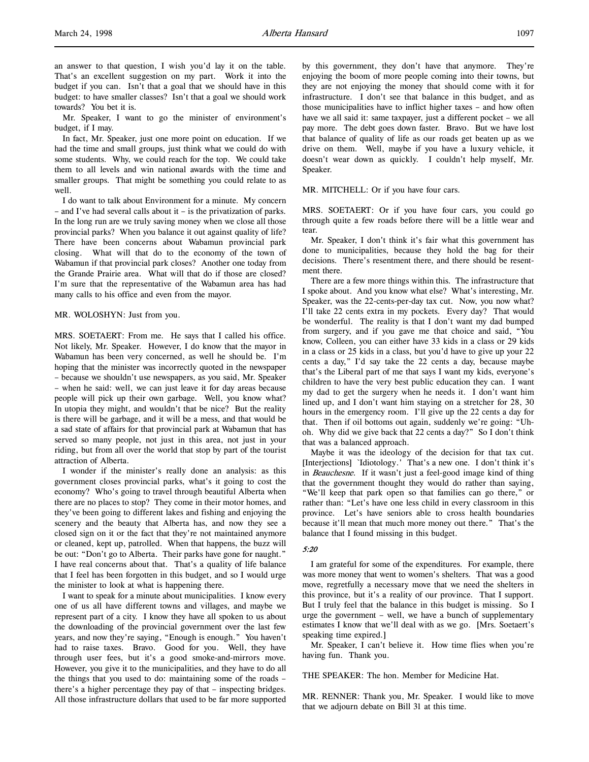Mr. Speaker, I want to go the minister of environment's budget, if I may.

In fact, Mr. Speaker, just one more point on education. If we had the time and small groups, just think what we could do with some students. Why, we could reach for the top. We could take them to all levels and win national awards with the time and smaller groups. That might be something you could relate to as well.

I do want to talk about Environment for a minute. My concern – and I've had several calls about it – is the privatization of parks. In the long run are we truly saving money when we close all those provincial parks? When you balance it out against quality of life? There have been concerns about Wabamun provincial park closing. What will that do to the economy of the town of Wabamun if that provincial park closes? Another one today from the Grande Prairie area. What will that do if those are closed? I'm sure that the representative of the Wabamun area has had many calls to his office and even from the mayor.

#### MR. WOLOSHYN: Just from you.

MRS. SOETAERT: From me. He says that I called his office. Not likely, Mr. Speaker. However, I do know that the mayor in Wabamun has been very concerned, as well he should be. I'm hoping that the minister was incorrectly quoted in the newspaper – because we shouldn't use newspapers, as you said, Mr. Speaker – when he said: well, we can just leave it for day areas because people will pick up their own garbage. Well, you know what? In utopia they might, and wouldn't that be nice? But the reality is there will be garbage, and it will be a mess, and that would be a sad state of affairs for that provincial park at Wabamun that has served so many people, not just in this area, not just in your riding, but from all over the world that stop by part of the tourist attraction of Alberta.

I wonder if the minister's really done an analysis: as this government closes provincial parks, what's it going to cost the economy? Who's going to travel through beautiful Alberta when there are no places to stop? They come in their motor homes, and they've been going to different lakes and fishing and enjoying the scenery and the beauty that Alberta has, and now they see a closed sign on it or the fact that they're not maintained anymore or cleaned, kept up, patrolled. When that happens, the buzz will be out: "Don't go to Alberta. Their parks have gone for naught." I have real concerns about that. That's a quality of life balance that I feel has been forgotten in this budget, and so I would urge the minister to look at what is happening there.

I want to speak for a minute about municipalities. I know every one of us all have different towns and villages, and maybe we represent part of a city. I know they have all spoken to us about the downloading of the provincial government over the last few years, and now they're saying, "Enough is enough." You haven't had to raise taxes. Bravo. Good for you. Well, they have through user fees, but it's a good smoke-and-mirrors move. However, you give it to the municipalities, and they have to do all the things that you used to do: maintaining some of the roads – there's a higher percentage they pay of that – inspecting bridges. All those infrastructure dollars that used to be far more supported by this government, they don't have that anymore. They're enjoying the boom of more people coming into their towns, but they are not enjoying the money that should come with it for infrastructure. I don't see that balance in this budget, and as those municipalities have to inflict higher taxes – and how often have we all said it: same taxpayer, just a different pocket – we all pay more. The debt goes down faster. Bravo. But we have lost that balance of quality of life as our roads get beaten up as we drive on them. Well, maybe if you have a luxury vehicle, it doesn't wear down as quickly. I couldn't help myself, Mr. Speaker.

#### MR. MITCHELL: Or if you have four cars.

MRS. SOETAERT: Or if you have four cars, you could go through quite a few roads before there will be a little wear and tear.

Mr. Speaker, I don't think it's fair what this government has done to municipalities, because they hold the bag for their decisions. There's resentment there, and there should be resentment there.

There are a few more things within this. The infrastructure that I spoke about. And you know what else? What's interesting, Mr. Speaker, was the 22-cents-per-day tax cut. Now, you now what? I'll take 22 cents extra in my pockets. Every day? That would be wonderful. The reality is that I don't want my dad bumped from surgery, and if you gave me that choice and said, "You know, Colleen, you can either have 33 kids in a class or 29 kids in a class or 25 kids in a class, but you'd have to give up your 22 cents a day," I'd say take the 22 cents a day, because maybe that's the Liberal part of me that says I want my kids, everyone's children to have the very best public education they can. I want my dad to get the surgery when he needs it. I don't want him lined up, and I don't want him staying on a stretcher for 28, 30 hours in the emergency room. I'll give up the 22 cents a day for that. Then if oil bottoms out again, suddenly we're going: "Uhoh. Why did we give back that 22 cents a day?" So I don't think that was a balanced approach.

Maybe it was the ideology of the decision for that tax cut. [Interjections] `Idiotology.' That's a new one. I don't think it's in Beauchesne. If it wasn't just a feel-good image kind of thing that the government thought they would do rather than saying, "We'll keep that park open so that families can go there," or rather than: "Let's have one less child in every classroom in this province. Let's have seniors able to cross health boundaries because it'll mean that much more money out there." That's the balance that I found missing in this budget.

## 5:20

I am grateful for some of the expenditures. For example, there was more money that went to women's shelters. That was a good move, regretfully a necessary move that we need the shelters in this province, but it's a reality of our province. That I support. But I truly feel that the balance in this budget is missing. So I urge the government – well, we have a bunch of supplementary estimates I know that we'll deal with as we go. [Mrs. Soetaert's speaking time expired.]

Mr. Speaker, I can't believe it. How time flies when you're having fun. Thank you.

THE SPEAKER: The hon. Member for Medicine Hat.

MR. RENNER: Thank you, Mr. Speaker. I would like to move that we adjourn debate on Bill 31 at this time.